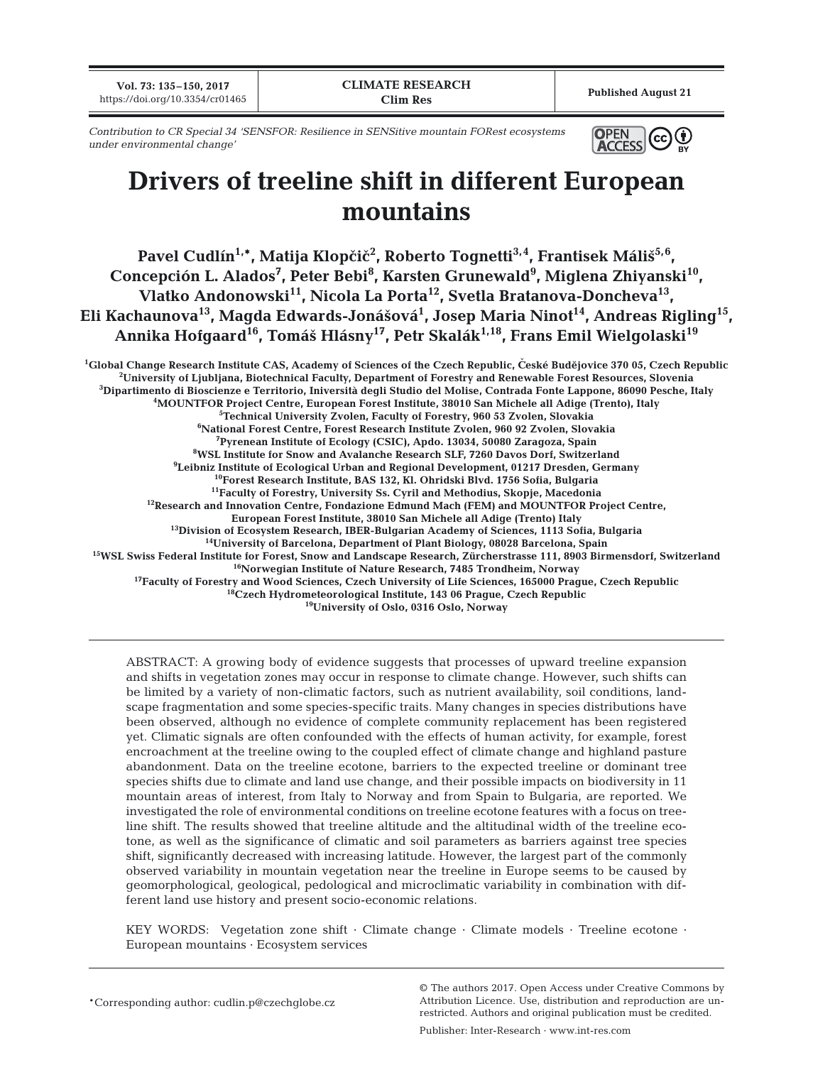**Vol. 73: 135–150, 2017 100. 73: 133–130, 2017**<br>https://doi.org/10.3354/cr01465 **Published August 21** 

*Contribution to CR Special 34 'SENSFOR: Resilience in SENSitive mountain FORest ecosystems under environmental change'*



# **Drivers of treeline shift in different European mountains**

**Pavel Cudlín1,\*, Matija Klop<i<<sup>2</sup> , Roberto Tognetti3,4, Frantisek Máliˇs5,6,**  Concepción L. Alados<sup>7</sup>, Peter Bebi<sup>8</sup>, Karsten Grunewald<sup>9</sup>, Miglena Zhiyanski<sup>10</sup>, Vlatko Andonowski<sup>11</sup>, Nicola La Porta<sup>12</sup>, Svetla Bratanova-Doncheva<sup>13</sup>, **Eli Kachaunova13, Magda Edwards-Jonášová1 , Josep Maria Ninot14, Andreas Rigling15,** Annika Hofgaard<sup>16</sup>, Tomáš Hlásny<sup>17</sup>, Petr Skalák<sup>1,18</sup>, Frans Emil Wielgolaski<sup>19</sup>

<sup>1</sup>Global Change Research Institute CAS, Academy of Sciences of the Czech Republic, České Budějovice 370 05, Czech Republic<br><sup>2</sup>University of Ljubliana, Biotechnical Faculty, Department of Forestry and Repewable Forest Reso <sup>2</sup>University of Ljubljana, Biotechnical Faculty, Department of Forestry and Renewable Forest Resources, Slovenia **Dipartimento di Bioscienze e Territorio, Iniversità degli Studio del Molise, Contrada Fonte Lappone, 86090 Pesche, Italy 4** <sup>4</sup>MOUNTFOR Project Centre, European Forest Institute, 38010 San Michele all Adige (Trento), Italy **Technical University Zvolen, Faculty of Forestry, 960 53 Zvolen, Slovakia 6 National Forest Centre, Forest Research Institute Zvolen, 960 92 Zvolen, Slovakia** <sup>7</sup>Pyrenean Institute of Ecology (CSIC), Apdo. 13034, 50080 Zaragoza, Spain **Pyrenean Institute of Ecology (CSIC), Apdo. 13034, 50080 Zaragoza, Spain 8 WSL Institute for Snow and Avalanche Research SLF, 7260 Davos Dorf, Switzerland 9 Leibniz Institute of Ecological Urban and Regional Development, 01217 Dresden, Germany 10Forest Research Institute, BAS 132, Kl. Ohridski Blvd. 1756 Sofia, Bulgaria** <sup>12</sup>Research and Innovation Centre, Fondazione Edmund Mach (FEM) and MOUNTFOR Project Centre,<br>European Forest Institute, 38010 San Michele all Adige (Trento) Italy <sup>13</sup> Division of Ecosystem Research, IBER-Bulgarian Academy of Sciences, 1113 Sofia, Bulgaria<br><sup>14</sup>University of Barcelona, Department of Plant Biology, 08028 Barcelona, Spain <sup>15</sup>WSL Swiss Federal Institute for Forest, Snow and Landscape Research, Zürcherstrasse 111, 8903 Birmensdorf, Switzerland<br><sup>16</sup>Norwegian Institute of Nature Research, 7485 Trondheim, Norway<br><sup>17</sup>Faculty of Forestry and Woo **18Czech Hydrometeorological Institute, 143 06 Prague, Czech Republic**

**19University of Oslo, 0316 Oslo, Norway**

ABSTRACT: A growing body of evidence suggests that processes of upward treeline expansion and shifts in vegetation zones may occur in response to climate change. However, such shifts can be limited by a variety of non-climatic factors, such as nutrient availability, soil conditions, landscape fragmentation and some species-specific traits. Many changes in species distributions have been observed, although no evidence of complete community replacement has been registered yet. Climatic signals are often confounded with the effects of human activity, for example, forest encroachment at the treeline owing to the coupled effect of climate change and highland pasture abandonment. Data on the treeline ecotone, barriers to the expected treeline or dominant tree species shifts due to climate and land use change, and their possible impacts on biodiversity in 11 mountain areas of interest, from Italy to Norway and from Spain to Bulgaria, are reported. We investigated the role of environmental conditions on treeline ecotone features with a focus on treeline shift. The results showed that treeline altitude and the altitudinal width of the treeline ecotone, as well as the significance of climatic and soil parameters as barriers against tree species shift, significantly decreased with increasing latitude. However, the largest part of the commonly observed variability in mountain vegetation near the treeline in Europe seems to be caused by geomorphological, geological, pedological and microclimatic variability in combination with different land use history and present socio-economic relations.

KEY WORDS: Vegetation zone shift · Climate change · Climate models · Treeline ecotone · European mountains · Ecosystem services

\*Corresponding author: cudlin.p@czechglobe.cz

© The authors 2017. Open Access under Creative Commons by Attribution Licence. Use, distribution and reproduction are unrestricted. Authors and original publication must be credited.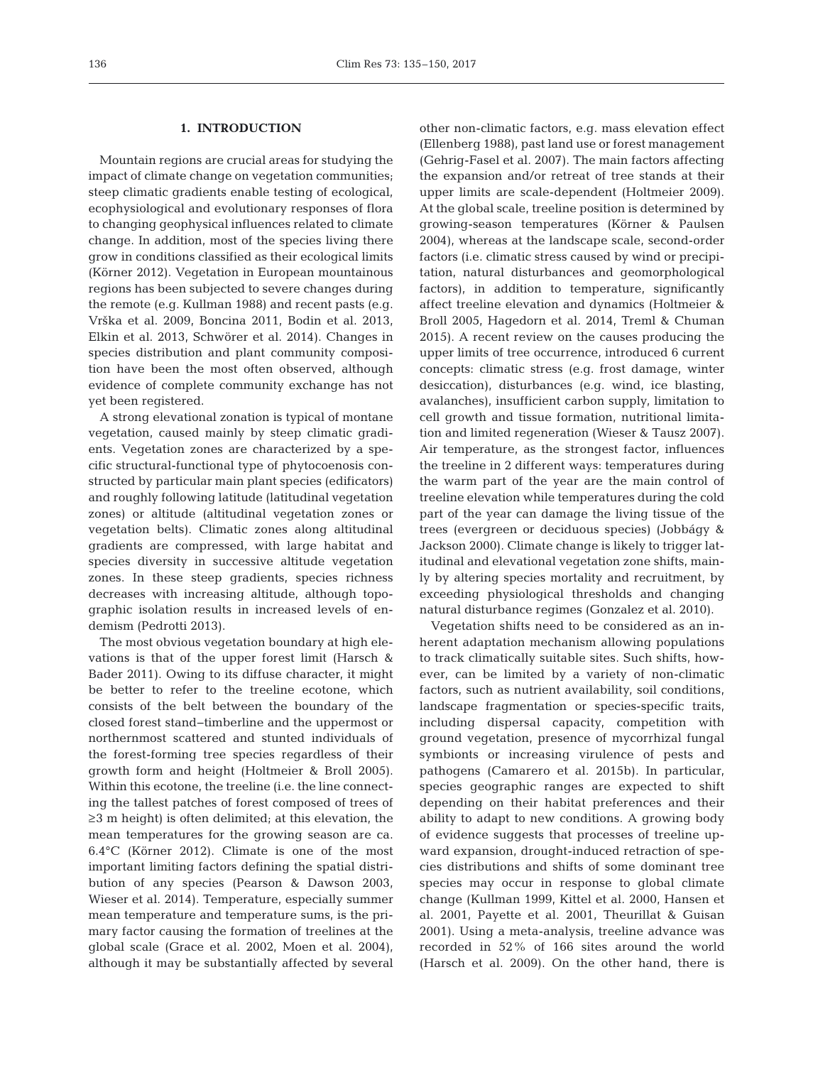## **1. INTRODUCTION**

Mountain regions are crucial areas for studying the impact of climate change on vegetation communities; steep climatic gradients enable testing of ecological, ecophysiological and evolutionary responses of flora to changing geophysical influences related to climate change. In addition, most of the species living there grow in conditions classified as their ecological limits (Körner 2012). Vegetation in European mountainous regions has been subjected to severe changes during the remote (e.g. Kullman 1988) and recent pasts (e.g. Vrška et al. 2009, Boncina 2011, Bodin et al. 2013, Elkin et al. 2013, Schwörer et al. 2014). Changes in species distribution and plant community composition have been the most often observed, although evidence of complete community exchange has not yet been registered.

A strong elevational zonation is typical of montane vegetation, caused mainly by steep climatic gradients. Vegetation zones are characterized by a specific structural-functional type of phytocoenosis constructed by particular main plant species (edificators) and roughly following latitude (latitudinal vegetation zones) or altitude (altitudinal vegetation zones or vegetation belts). Climatic zones along altitudinal gradients are compressed, with large habitat and species diversity in successive altitude vegetation zones. In these steep gradients, species richness decreases with increasing altitude, although topographic isolation results in increased levels of en demism (Pedrotti 2013).

The most obvious vegetation boundary at high elevations is that of the upper forest limit (Harsch & Bader 2011). Owing to its diffuse character, it might be better to refer to the treeline ecotone, which consists of the belt between the boundary of the closed forest stand−timberline and the uppermost or northern most scattered and stunted individuals of the forest-forming tree species regardless of their growth form and height (Holtmeier & Broll 2005). Within this ecotone, the treeline (i.e. the line connecting the tallest patches of forest composed of trees of ≥3 m height) is often delimited; at this elevation, the mean temperatures for the growing season are ca. 6.4°C (Körner 2012). Climate is one of the most important limiting factors defining the spatial distribution of any species (Pearson & Dawson 2003, Wieser et al. 2014). Temperature, especially summer mean temperature and temperature sums, is the primary factor causing the formation of treelines at the global scale (Grace et al. 2002, Moen et al. 2004), although it may be substantially affected by several other non-climatic factors, e.g. mass elevation effect (Ellenberg 1988), past land use or forest management (Gehrig-Fasel et al. 2007). The main factors affecting the expansion and/or retreat of tree stands at their upper limits are scale-dependent (Holtmeier 2009). At the global scale, treeline position is determined by growing-season temperatures (Körner & Paulsen 2004), whereas at the landscape scale, second-order factors (i.e. climatic stress caused by wind or precipitation, natural disturbances and geomorphological factors), in addition to temperature, significantly affect treeline elevation and dynamics (Holtmeier & Broll 2005, Hagedorn et al. 2014, Treml & Chuman 2015). A recent review on the causes producing the upper limits of tree occurrence, introduced 6 current concepts: climatic stress (e.g. frost damage, winter desiccation), disturbances (e.g. wind, ice blasting, avalanches), insufficient carbon supply, limitation to cell growth and tissue formation, nutritional limitation and limited regeneration (Wieser & Tausz 2007). Air temperature, as the strongest factor, influences the treeline in 2 different ways: temperatures during the warm part of the year are the main control of treeline elevation while temperatures during the cold part of the year can damage the living tissue of the trees (evergreen or deciduous species) (Jobbágy & Jackson 2000). Climate change is likely to trigger latitudinal and elevational vegetation zone shifts, main ly by altering species mortality and recruitment, by exceeding physiological thresholds and changing natural disturbance regimes (Gonzalez et al. 2010).

Vegetation shifts need to be considered as an in herent adaptation mechanism allowing populations to track climatically suitable sites. Such shifts, however, can be limited by a variety of non-climatic factors, such as nutrient availability, soil conditions, landscape fragmentation or species-specific traits, including dispersal capacity, competition with ground vegetation, presence of mycorrhizal fungal symbionts or increasing virulence of pests and pathogens (Camarero et al. 2015b). In particular, species geographic ranges are expected to shift depending on their habitat preferences and their ability to adapt to new conditions. A growing body of evidence suggests that processes of treeline up ward expansion, drought-induced retraction of species distributions and shifts of some dominant tree species may occur in response to global climate change (Kullman 1999, Kittel et al. 2000, Hansen et al. 2001, Payette et al. 2001, Theurillat & Guisan 2001). Using a meta-analysis, treeline advance was recorded in 52% of 166 sites around the world (Harsch et al. 2009). On the other hand, there is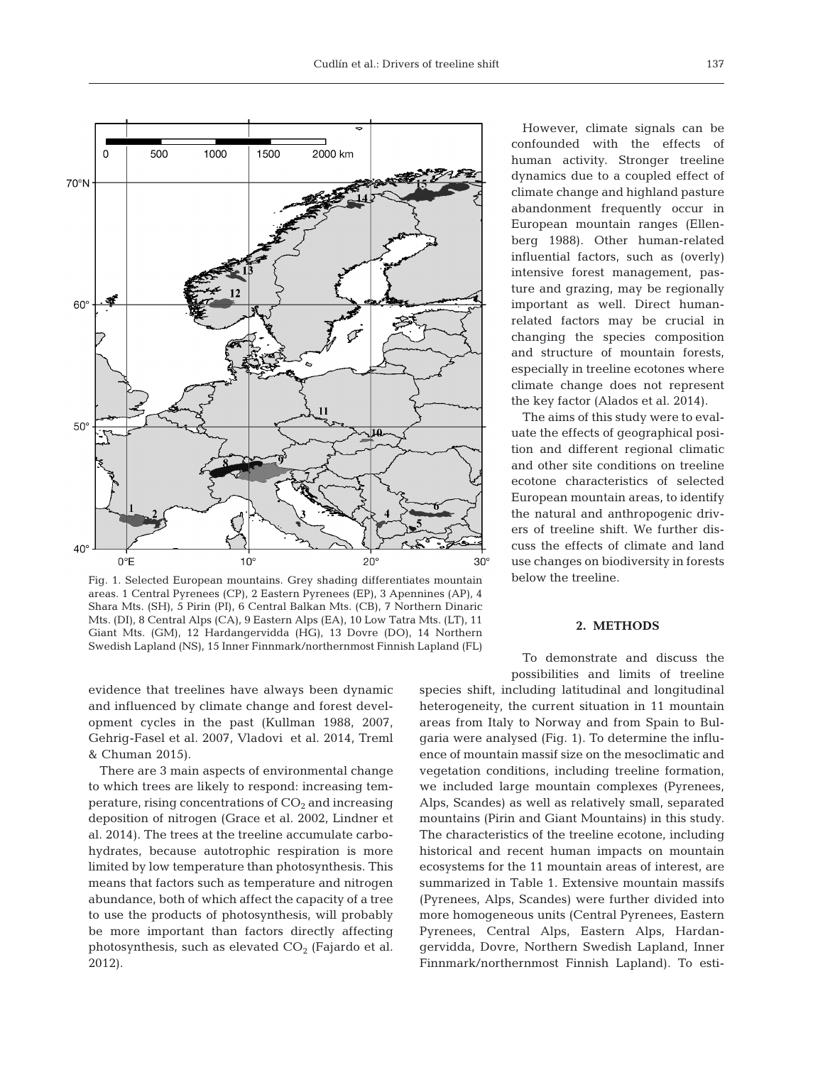

Fig. 1. Selected European mountains. Grey shading differentiates mountain areas. 1 Central Pyrenees (CP), 2 Eastern Pyrenees (EP), 3 Apennines (AP), 4 Shara Mts. (SH), 5 Pirin (PI), 6 Central Balkan Mts. (CB), 7 Northern Dinaric Mts. (DI), 8 Central Alps (CA), 9 Eastern Alps (EA), 10 Low Tatra Mts. (LT), 11 Giant Mts. (GM), 12 Hardangervidda (HG), 13 Dovre (DO), 14 Northern Swedish Lapland (NS), 15 Inner Finnmark/northernmost Finnish Lapland (FL)

evidence that treelines have always been dynamic and influenced by climate change and forest development cycles in the past (Kullman 1988, 2007, Gehrig-Fasel et al. 2007, Vla dovi et al. 2014, Treml & Chuman 2015).

There are 3 main aspects of environmental change to which trees are likely to respond: increasing temperature, rising concentrations of  $CO<sub>2</sub>$  and increasing deposition of nitrogen (Grace et al. 2002, Lindner et al. 2014). The trees at the treeline accumulate carbohydrates, because autotrophic respiration is more limited by low temperature than photosynthesis. This means that factors such as temperature and nitrogen abundance, both of which affect the capacity of a tree to use the products of photosynthesis, will probably be more important than factors directly affecting photosynthesis, such as elevated  $CO<sub>2</sub>$  (Fajardo et al. 2012).

However, climate signals can be confounded with the effects of human activity. Stronger treeline dyna mics due to a coupled effect of climate change and highland pasture abandonment frequently occur in European mountain ranges (Ellenberg 1988). Other human-related influential factors, such as (overly) intensive forest management, pasture and grazing, may be regionally important as well. Direct humanrelated factors may be crucial in changing the species composition and structure of mountain forests, especially in treeline ecotones where climate change does not represent the key factor (Alados et al. 2014).

The aims of this study were to evaluate the effects of geographical position and different regional climatic and other site conditions on treeline ecotone characteristics of selected European mountain areas, to identify the natural and anthropogenic drivers of treeline shift. We further discuss the effects of climate and land use changes on biodiversity in forests below the treeline.

## **2. METHODS**

To demonstrate and discuss the possibilities and limits of treeline

species shift, including latitudinal and longitudinal heterogeneity, the current situation in 11 mountain areas from Italy to Norway and from Spain to Bulgaria were analysed (Fig. 1). To determine the influence of mountain massif size on the mesoclimatic and vegetation conditions, including treeline formation, we included large mountain complexes (Pyrenees, Alps, Scandes) as well as relatively small, separated mountains (Pirin and Giant Mountains) in this study. The characteristics of the treeline ecotone, including historical and recent human impacts on mountain ecosystems for the 11 mountain areas of interest, are summarized in Table 1. Extensive mountain massifs (Pyrenees, Alps, Scandes) were further divided into more homogeneous units (Central Pyrenees, Eastern Pyrenees, Central Alps, Eastern Alps, Hardangervidda, Dovre, Northern Swedish Lapland, Inner Finnmark/northernmost Finnish Lapland). To esti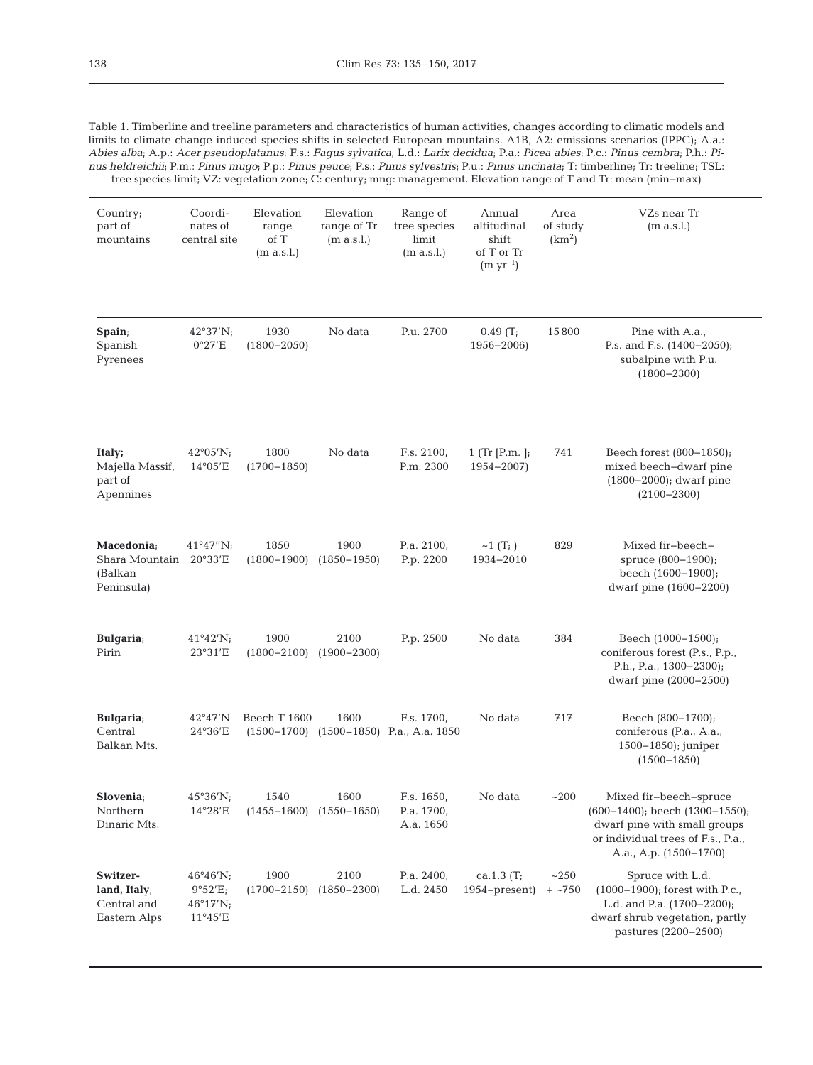Table 1. Timberline and treeline parameters and characteristics of human activities, changes according to climatic models and limits to climate change induced species shifts in selected European mountains. A1B, A2: emissions scenarios (IPPC); A.a.: *Abies alba*; A.p.: *Acer pseudoplatanus*; F.s.: *Fagus sylvatica*; L.d.: *Larix decidua*; P.a.: *Picea abies*; P.c.: *Pinus cembra*; P.h.: *Pinus heldreichii*; P.m.: *Pinus mugo*; P.p.: *Pinus peuce*; P.s.: *Pinus sylvestris*; P.u.: *Pinus uncinata*; T: timberline; Tr: treeline; TSL: tree species limit; VZ: vegetation zone; C: century; mng: management. Elevation range of T and Tr: mean (min−max)

| Country;<br>part of<br>mountains                              | Coordi-<br>nates of<br>central site                  | Elevation<br>range<br>of T<br>(m a.s.l.) | Elevation<br>range of Tr<br>(m a.s.l.) | Range of<br>tree species<br>limit<br>(m a.s.l.)           | Annual<br>altitudinal<br>shift<br>of T or Tr<br>$(m yr^{-1})$ | Area<br>of study<br>(km <sup>2</sup> ) | VZs near Tr<br>(m a.s.l.)                                                                                                                                      |
|---------------------------------------------------------------|------------------------------------------------------|------------------------------------------|----------------------------------------|-----------------------------------------------------------|---------------------------------------------------------------|----------------------------------------|----------------------------------------------------------------------------------------------------------------------------------------------------------------|
| Spain;<br>Spanish<br>Pyrenees                                 | 42°37'N;<br>0°27'E                                   | 1930<br>$(1800 - 2050)$                  | No data                                | P.u. 2700                                                 | 0.49(T;<br>$1956 - 2006$                                      | 15800                                  | Pine with A.a.,<br>P.s. and F.s. (1400-2050);<br>subalpine with P.u.<br>$(1800 - 2300)$                                                                        |
| Italy;<br>Majella Massif,<br>part of<br>Apennines             | $42^{\circ}05'$ N;<br>$14^{\circ}05'E$               | 1800<br>$(1700 - 1850)$                  | No data                                | F.s. 2100,<br>P.m. 2300                                   | 1 (Tr $[P.m.]$ ;<br>$1954 - 2007$                             | 741                                    | Beech forest (800–1850);<br>mixed beech-dwarf pine<br>$(1800 - 2000)$ ; dwarf pine<br>$(2100 - 2300)$                                                          |
| Macedonia;<br>Shara Mountain 20°33'E<br>(Balkan<br>Peninsula) | $41^{\circ}47''$ N;                                  | 1850<br>$(1800 - 1900)$                  | 1900<br>$(1850 - 1950)$                | P.a. 2100,<br>P.p. 2200                                   | $~1$ (T <sub>i</sub> )<br>1934-2010                           | 829                                    | Mixed fir-beech-<br>spruce (800-1900);<br>beech (1600-1900);<br>dwarf pine (1600-2200)                                                                         |
| <b>Bulgaria</b> ;<br>Pirin                                    | $41^{\circ}42'$ N;<br>23°31'E                        | 1900<br>$(1800 - 2100)$                  | 2100<br>$(1900 - 2300)$                | P.p. 2500                                                 | No data                                                       | 384                                    | Beech (1000-1500);<br>coniferous forest (P.s., P.p.,<br>P.h., P.a., 1300-2300);<br>dwarf pine (2000–2500)                                                      |
| <b>Bulgaria</b> ;<br>Central<br>Balkan Mts.                   | 42°47'N<br>24°36'E                                   | Beech T 1600                             | 1600                                   | F.s. 1700,<br>$(1500-1700)$ $(1500-1850)$ P.a., A.a. 1850 | No data                                                       | 717                                    | Beech (800-1700);<br>coniferous (P.a., A.a.,<br>1500-1850); juniper<br>$(1500 - 1850)$                                                                         |
| Slovenia;<br>Northern<br>Dinaric Mts.                         | $45^{\circ}36'$ N;<br>$14^{\circ}28'E$               | 1540<br>$(1455 - 1600)$                  | 1600<br>$(1550 - 1650)$                | F.s. 1650,<br>P.a. 1700,<br>A.a. 1650                     | No data                                                       | ~200                                   | Mixed fir-beech-spruce<br>$(600-1400)$ ; beech $(1300-1550)$ ;<br>dwarf pine with small groups<br>or individual trees of F.s., P.a.,<br>A.a., A.p. (1500–1700) |
| Switzer-<br>land, Italy;<br>Central and<br>Eastern Alps       | 46°46'N;<br>9°52'E;<br>$46^{\circ}17'$ N;<br>11°45'E | 1900<br>$(1700 - 2150)$                  | 2100<br>$(1850 - 2300)$                | P.a. $2400$ ,<br>L.d. 2450                                | ca.1.3 $(T_i)$<br>$1954$ -present)                            | ~250<br>$+ 750$                        | Spruce with L.d.<br>$(1000-1900)$ ; forest with P.c.,<br>L.d. and P.a. (1700-2200);<br>dwarf shrub vegetation, partly<br>pastures (2200-2500)                  |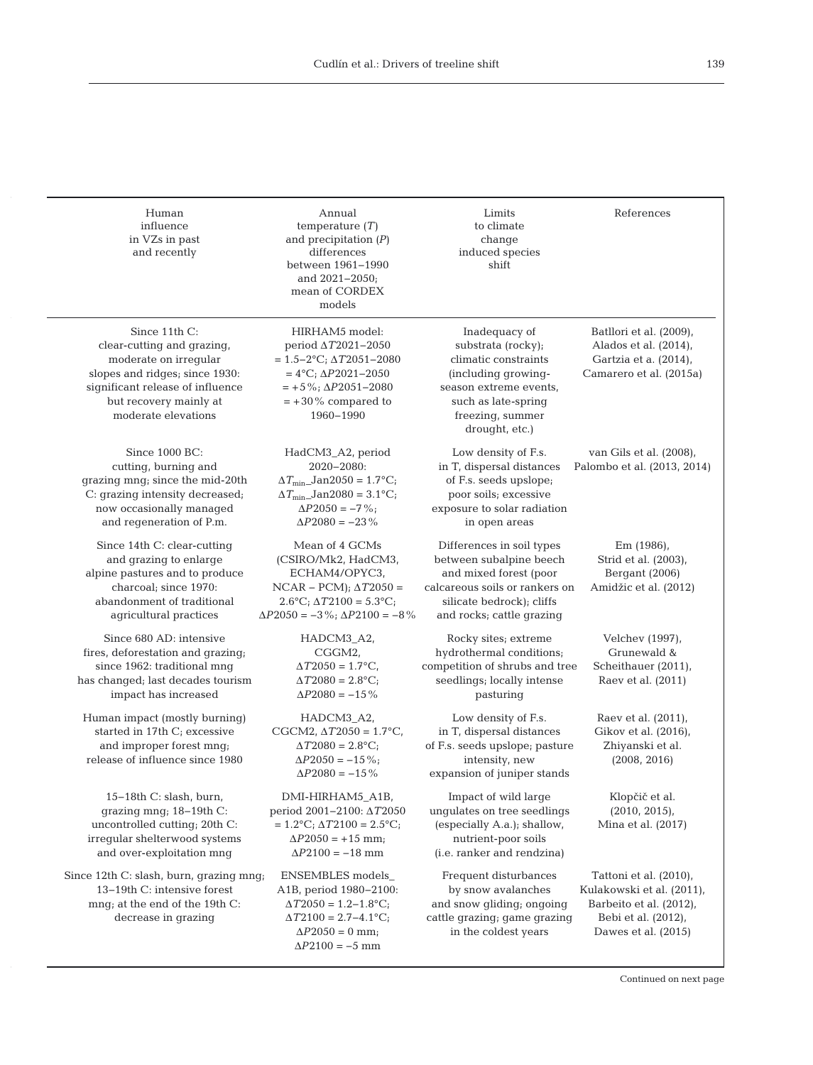| Human<br>influence<br>in VZs in past<br>and recently                                                                                                                                        | Annual<br>temperature $(T)$<br>and precipitation $(P)$<br>differences<br>between 1961-1990<br>and $2021 - 2050$ ;<br>mean of CORDEX<br>models                                                       | Limits<br>to climate<br>change<br>induced species<br>shift                                                                                                                 | References                                                                                                                   |
|---------------------------------------------------------------------------------------------------------------------------------------------------------------------------------------------|-----------------------------------------------------------------------------------------------------------------------------------------------------------------------------------------------------|----------------------------------------------------------------------------------------------------------------------------------------------------------------------------|------------------------------------------------------------------------------------------------------------------------------|
| Since 11th C:<br>clear-cutting and grazing,<br>moderate on irregular<br>slopes and ridges; since 1930:<br>significant release of influence<br>but recovery mainly at<br>moderate elevations | HIRHAM5 model:<br>period $\Delta T2021 - 2050$<br>$= 1.5 - 2$ °C; $\Delta T 2051 - 2080$<br>$= 4$ °C; $\Delta P2021 - 2050$<br>$= +5\%; \Delta P 2051 - 2080$<br>$= +30\%$ compared to<br>1960-1990 | Inadequacy of<br>substrata (rocky);<br>climatic constraints<br>(including growing-<br>season extreme events,<br>such as late-spring<br>freezing, summer<br>drought, etc.)  | Batllori et al. (2009),<br>Alados et al. $(2014)$ ,<br>Gartzia et a. (2014),<br>Camarero et al. (2015a)                      |
| Since 1000 BC:<br>cutting, burning and<br>grazing mng; since the mid-20th<br>C: grazing intensity decreased;<br>now occasionally managed<br>and regeneration of P.m.                        | HadCM3_A2, period<br>2020-2080:<br>$\Delta T_{\text{min}}$ _Jan2050 = 1.7°C;<br>$\Delta T_{\text{min}}$ _Jan2080 = 3.1°C;<br>$\Delta P2050 = -7\%$ ;<br>$\Delta P2080 = -23\%$                      | Low density of F.s.<br>in T, dispersal distances<br>of F.s. seeds upslope;<br>poor soils; excessive<br>exposure to solar radiation<br>in open areas                        | van Gils et al. (2008),<br>Palombo et al. (2013, 2014)                                                                       |
| Since 14th C: clear-cutting<br>and grazing to enlarge<br>alpine pastures and to produce<br>charcoal; since 1970:<br>abandonment of traditional<br>agricultural practices                    | Mean of 4 GCMs<br>(CSIRO/Mk2, HadCM3,<br>ECHAM4/OPYC3,<br>$NCAR - PCM$ ; $\Delta T2050 =$<br>$2.6^{\circ}C$ ; $\Delta T2100 = 5.3^{\circ}C$ ;<br>$\Delta P2050 = -3\%; \Delta P2100 = -8\%$         | Differences in soil types<br>between subalpine beech<br>and mixed forest (poor<br>calcareous soils or rankers on<br>silicate bedrock); cliffs<br>and rocks; cattle grazing | Em (1986),<br>Strid et al. (2003),<br>Bergant (2006)<br>Amidžic et al. (2012)                                                |
| Since 680 AD: intensive<br>fires, deforestation and grazing;<br>since 1962: traditional mng<br>has changed; last decades tourism<br>impact has increased                                    | HADCM3_A2,<br>CGGM2,<br>$\Delta T2050 = 1.7$ ^{\circ}\mathrm{C},<br>$\Delta T2080 = 2.8$ °C;<br>$\Delta P2080 = -15\%$                                                                              | Rocky sites; extreme<br>hydrothermal conditions;<br>competition of shrubs and tree<br>seedlings; locally intense<br>pasturing                                              | Velchev (1997),<br>Grunewald &<br>Scheithauer (2011),<br>Raev et al. (2011)                                                  |
| Human impact (mostly burning)<br>started in 17th C <sub>i</sub> excessive<br>and improper forest mng;<br>release of influence since 1980                                                    | HADCM3_A2,<br>CGCM2, $\triangle T2050 = 1.7$ °C,<br>$\Delta T2080 = 2.8$ °C;<br>$\Delta P2050 = -15\%$ ;<br>$\Delta P2080 = -15\%$                                                                  | Low density of F.s.<br>in T, dispersal distances<br>of F.s. seeds upslope; pasture<br>intensity, new<br>expansion of juniper stands                                        | Raev et al. (2011),<br>Gikov et al. (2016),<br>Zhiyanski et al.<br>(2008, 2016)                                              |
| 15-18th C: slash, burn,<br>grazing mng; 18-19th C:<br>uncontrolled cutting; 20th C:<br>irregular shelterwood systems<br>and over-exploitation mng                                           | DMI-HIRHAM5_A1B,<br>period 2001-2100: AT2050<br>$= 1.2$ °C; $\Delta T2100 = 2.5$ °C;<br>$\Delta P2050 = +15$ mm;<br>$\Delta P2100 = -18$ mm                                                         | Impact of wild large<br>ungulates on tree seedlings<br>(especially A.a.); shallow,<br>nutrient-poor soils<br>(i.e. ranker and rendzina)                                    | Klopčič et al.<br>(2010, 2015),<br>Mina et al. (2017)                                                                        |
| Since 12th C: slash, burn, grazing mng;<br>13-19th C: intensive forest<br>mng; at the end of the 19th C:<br>decrease in grazing                                                             | ENSEMBLES models<br>A1B, period 1980-2100:<br>$\Delta T2050 = 1.2 - 1.8$ °C;<br>$\Delta T2100 = 2.7 - 4.1$ °C;<br>$\Delta P2050 = 0$ mm;<br>$\Delta P2100 = -5$ mm                                  | Frequent disturbances<br>by snow avalanches<br>and snow gliding; ongoing<br>cattle grazing; game grazing<br>in the coldest years                                           | Tattoni et al. (2010),<br>Kulakowski et al. (2011),<br>Barbeito et al. (2012),<br>Bebi et al. (2012),<br>Dawes et al. (2015) |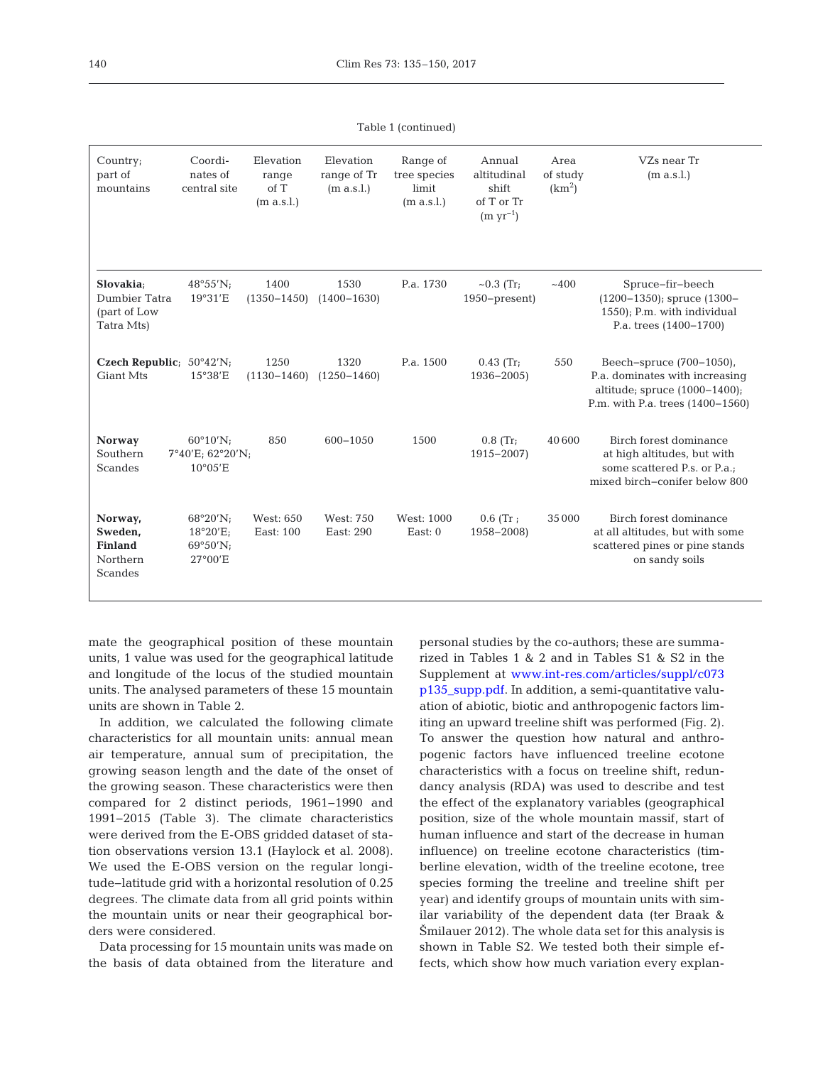Table 1 (continued)

| Country;<br>part of<br>mountains                            | Coordi-<br>nates of<br>central site                                          | Elevation<br>range<br>of T<br>(m a.s.l.) | Elevation<br>range of Tr<br>(m a.s.l.) | Range of<br>tree species<br>limit<br>(m a.s.l.) | Annual<br>altitudinal<br>shift<br>of T or Tr<br>$(m yr^{-1})$ | Area<br>of study<br>(km <sup>2</sup> ) | VZs near Tr<br>(m a.s.l.)                                                                                                          |
|-------------------------------------------------------------|------------------------------------------------------------------------------|------------------------------------------|----------------------------------------|-------------------------------------------------|---------------------------------------------------------------|----------------------------------------|------------------------------------------------------------------------------------------------------------------------------------|
| Slovakia;<br>Dumbier Tatra<br>(part of Low<br>Tatra Mts)    | $48^{\circ}55'$ N;<br>19°31'E                                                | 1400<br>$(1350 - 1450)$                  | 1530<br>$(1400 - 1630)$                | P.a. 1730                                       | $\sim 0.3$ (Tr;<br>$1950$ -present)                           | ~100                                   | Spruce-fir-beech<br>$(1200-1350)$ ; spruce $(1300-$<br>1550); P.m. with individual<br>P.a. trees (1400-1700)                       |
| Czech Republic; $50^{\circ}42'$ N;<br><b>Giant Mts</b>      | 15°38'E                                                                      | 1250<br>$(1130 - 1460)$                  | 1320<br>$(1250 - 1460)$                | P.a. 1500                                       | $0.43$ (Tr;<br>$1936 - 2005$                                  | 550                                    | Beech-spruce (700-1050),<br>P.a. dominates with increasing<br>altitude; spruce $(1000-1400)$ ;<br>P.m. with P.a. trees (1400-1560) |
| <b>Norway</b><br>Southern<br>Scandes                        | $60^{\circ}10^{\prime}N$ ;<br>$7^{\circ}40'E$ ; 62°20'N;<br>$10^{\circ}05'E$ | 850                                      | 600-1050                               | 1500                                            | $0.8$ (Tr;<br>$1915 - 2007$                                   | 40600                                  | Birch forest dominance<br>at high altitudes, but with<br>some scattered P.s. or P.a.;<br>mixed birch-conifer below 800             |
| Norway,<br>Sweden,<br><b>Finland</b><br>Northern<br>Scandes | $68^{\circ}20'$ N;<br>$18^{\circ}20'E$<br>$69^{\circ}50'$ N;<br>27°00'E      | West: 650<br>East: 100                   | West: 750<br>East: 290                 | West: 1000<br>East: $0$                         | $0.6$ (Tr;<br>1958-2008)                                      | 35 000                                 | Birch forest dominance<br>at all altitudes, but with some<br>scattered pines or pine stands<br>on sandy soils                      |

mate the geographical position of these mountain units, 1 value was used for the geographical latitude and longitude of the locus of the studied mountain units. The analysed parameters of these 15 mountain units are shown in Table 2.

In addition, we calculated the following climate characteristics for all mountain units: annual mean air temperature, annual sum of precipitation, the growing season length and the date of the onset of the growing season. These characteristics were then compared for 2 distinct periods, 1961−1990 and 1991− 2015 (Table 3). The climate characteristics were derived from the E-OBS gridded dataset of station observations version 13.1 (Haylock et al. 2008). We used the E-OBS version on the regular longitude−latitude grid with a horizontal resolution of 0.25 degrees. The climate data from all grid points within the mountain units or near their geographical borders were considered.

Data processing for 15 mountain units was made on the basis of data obtained from the literature and

personal studies by the co-authors; these are summarized in Tables 1 & 2 and in Tables S1 & S2 in the Supplement at www.int-res.com/articles/suppl/c073 [p135 \\_ supp. pdf. I](http://www.int-res.com/articles/suppl/c073p135_supp.pdf)n addition, a semi-quantitative valuation of abiotic, biotic and anthropogenic factors limiting an upward treeline shift was performed (Fig. 2). To answer the question how natural and anthropogenic factors have influenced treeline ecotone characteristics with a focus on treeline shift, redundancy analysis (RDA) was used to describe and test the effect of the explanatory variables (geographical position, size of the whole mountain massif, start of human influence and start of the decrease in human influence) on treeline ecotone characteristics (timberline elevation, width of the treeline ecotone, tree species forming the treeline and treeline shift per year) and identify groups of mountain units with similar variability of the dependent data (ter Braak & Šmilauer 2012). The whole data set for this analysis is shown in Table S2. We tested both their simple ef fects, which show how much variation every explan-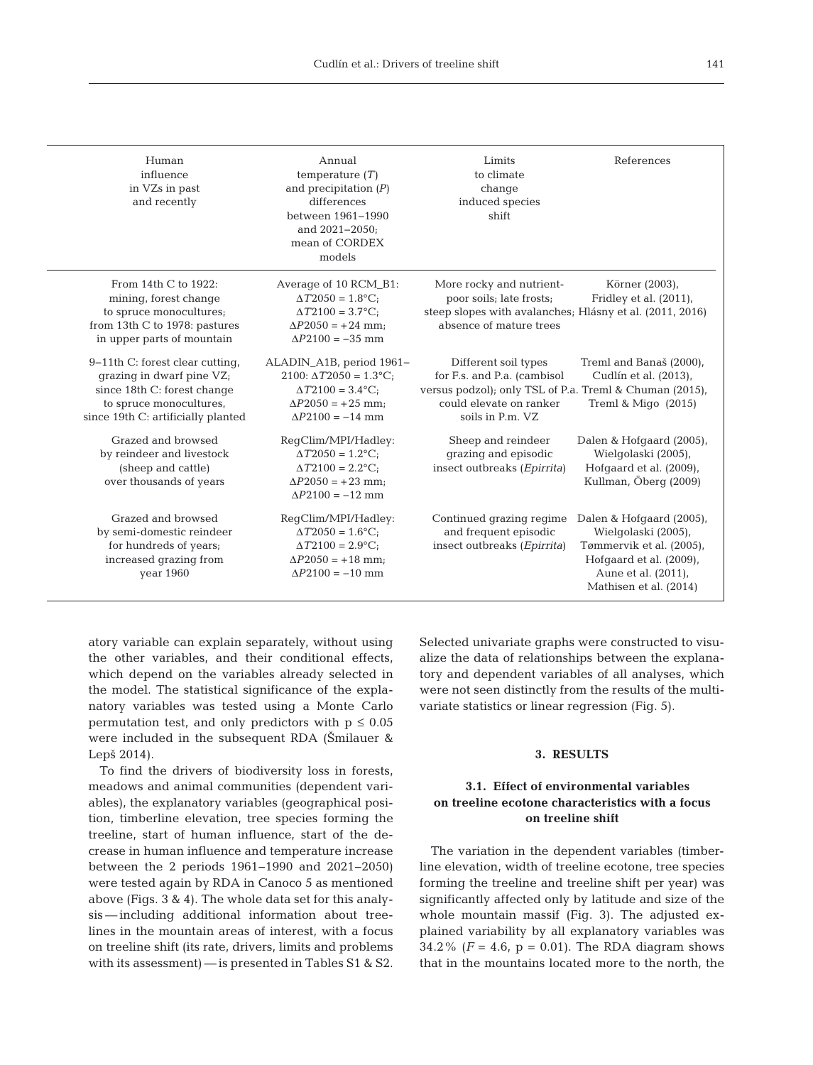| Human<br>influence<br>in VZs in past<br>and recently                                                                                                         | Annual<br>temperature $(T)$<br>and precipitation $(P)$<br>differences<br>between 1961-1990<br>and 2021-2050;<br>mean of CORDEX<br>models       | Limits<br>to climate<br>change<br>induced species<br>shift                                                                                                    | References                                                                                                                                              |
|--------------------------------------------------------------------------------------------------------------------------------------------------------------|------------------------------------------------------------------------------------------------------------------------------------------------|---------------------------------------------------------------------------------------------------------------------------------------------------------------|---------------------------------------------------------------------------------------------------------------------------------------------------------|
| From 14th C to 1922:<br>mining, forest change<br>to spruce monocultures;<br>from 13th C to 1978: pastures<br>in upper parts of mountain                      | Average of 10 RCM_B1:<br>$\Delta T 2050 = 1.8$ °C;<br>$\Delta T 2100 = 3.7$ °C;<br>$\Delta P2050 = +24$ mm;<br>$\Delta P2100 = -35$ mm         | More rocky and nutrient-<br>poor soils; late frosts;<br>steep slopes with avalanches; Hlásny et al. (2011, 2016)<br>absence of mature trees                   | Körner (2003),<br>Fridley et al. (2011),                                                                                                                |
| 9–11th C: forest clear cutting,<br>grazing in dwarf pine VZ;<br>since 18th C: forest change<br>to spruce monocultures,<br>since 19th C: artificially planted | ALADIN_A1B, period 1961-<br>$2100: \Delta T2050 = 1.3$ °C;<br>$\Delta T 2100 = 3.4$ °C;<br>$\Delta P2050 = +25$ mm;<br>$\Delta P2100 = -14$ mm | Different soil types<br>for F.s. and P.a. (cambisol<br>versus podzol); only TSL of P.a. Treml & Chuman (2015),<br>could elevate on ranker<br>soils in P.m. VZ | Treml and Banaš (2000),<br>Cudlín et al. (2013),<br>Treml & Migo $(2015)$                                                                               |
| Grazed and browsed<br>by reindeer and livestock<br>(sheep and cattle)<br>over thousands of years                                                             | RegClim/MPI/Hadley:<br>$\Delta T 2050 = 1.2$ °C;<br>$\Delta T 2100 = 2.2$ °C;<br>$\Delta P2050 = +23$ mm;<br>$\Delta P2100 = -12$ mm           | Sheep and reindeer<br>grazing and episodic<br>insect outbreaks (Epirrita)                                                                                     | Dalen & Hofgaard (2005),<br>Wielgolaski (2005),<br>Hofgaard et al. (2009),<br>Kullman, Öberg (2009)                                                     |
| Grazed and browsed<br>by semi-domestic reindeer<br>for hundreds of years;<br>increased grazing from<br>year 1960                                             | RegClim/MPI/Hadley:<br>$\Delta T 2050 = 1.6$ °C;<br>$\Delta T 2100 = 2.9$ °C;<br>$\Delta P2050 = +18$ mm;<br>$\Delta P2100 = -10$ mm           | Continued grazing regime<br>and frequent episodic<br>insect outbreaks (Epirrita)                                                                              | Dalen & Hofgaard (2005),<br>Wielgolaski (2005),<br>Tømmervik et al. (2005),<br>Hofgaard et al. (2009),<br>Aune et al. (2011),<br>Mathisen et al. (2014) |

atory variable can explain separately, without using the other variables, and their conditional effects, which depend on the variables already selected in the model. The statistical significance of the explanatory variables was tested using a Monte Carlo permutation test, and only predictors with  $p \leq 0.05$ were included in the subsequent RDA (Šmilauer & Lepš 2014).

To find the drivers of biodiversity loss in forests, meadows and animal communities (dependent variables), the explanatory variables (geographical position, timberline elevation, tree species forming the treeline, start of human influence, start of the decrease in human influence and temperature increase between the 2 periods 1961−1990 and 2021−2050) were tested again by RDA in Canoco 5 as mentioned above (Figs. 3 & 4). The whole data set for this analysis — including additional information about treelines in the mountain areas of interest, with a focus on treeline shift (its rate, drivers, limits and problems with its assessment) — is presented in Tables S1 & S2. Selected univariate graphs were constructed to visualize the data of relationships between the explanatory and dependent variables of all analyses, which were not seen distinctly from the results of the multivariate statistics or linear regression (Fig. 5).

#### **3. RESULTS**

# **3.1. Effect of environmental variables on treeline ecotone characteristics with a focus on treeline shift**

The variation in the dependent variables (timberline elevation, width of treeline ecotone, tree species forming the treeline and treeline shift per year) was significantly affected only by latitude and size of the whole mountain massif (Fig. 3). The adjusted explained variability by all explanatory variables was 34.2% ( $F = 4.6$ ,  $p = 0.01$ ). The RDA diagram shows that in the mountains located more to the north, the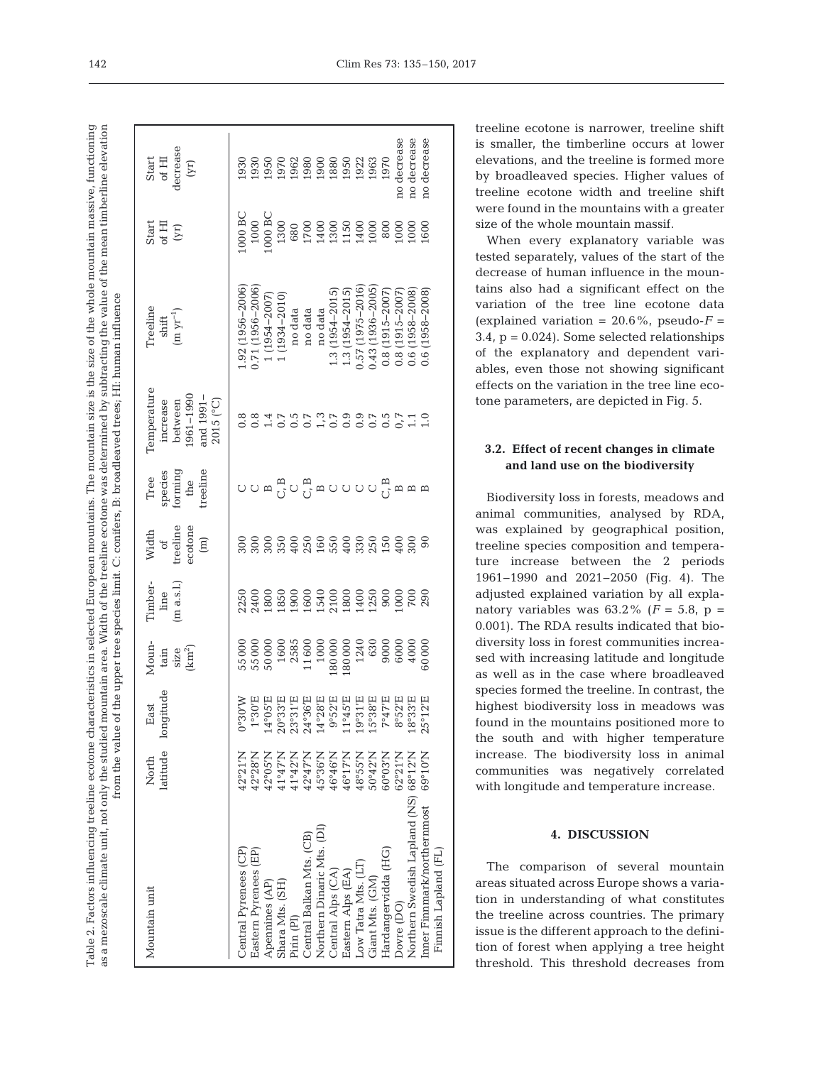The mountain size is the size of the whole mountain massive, functioning as a mezoscale climate unit, not only the studied mountain area. Width of the treeline ecotone was determined by subtracting the value of the mean timberline elevation as a mezoscale climate unit, not only the studied mountain area. Width of the treeline ecotone was determined by subtracting the value of the mean timberline elevation Table 2. Factors influencing treeline ecotone characteristics in selected European mountains. The mountain size is the size of the whole mountain massive, functioning from the value of the upper tree species limit. C: conifers, B: broadleaved trees; HI: human influence $\frac{1}{2}$ HI. bum  $\ddot{x}$ hroadloar European mountains.  $\dot{\alpha}$ anaifara  $lim_{i \to \infty}$ Table 2. Factors influencing treeline ecotone characteristics in selected  $\alpha$ f tha  $\frac{1}{2}$ م 14  $\mathbf{r}$ 

| Mountain unit                                       |                           | North East<br>latitude longitude                                                                                                                                                                                                                              | $\begin{array}{c} \text{Moun-} \\ \text{tan} \\ \text{size} \\ \text{size} \\ \text{(km}^2) \end{array}$                                                                                                                                                       | Timber-<br>line<br>(m a.s.l.) | $\begin{array}{c} \text{Width} \\ \text{of} \\ \text{treeline} \\ \text{ectone} \\ \text{endine} \end{array}$ | Tree<br>species<br>forming<br>the<br>treeline | Temperature<br>increase<br>between<br>1961–1990<br>and 1991-<br>2015 (°C) | Treeline<br>$\begin{array}{c} \text{shift} \\ \text{(m yr}^{-1}) \end{array}$                                   | $\begin{array}{c} {\rm{start}}\\ {\rm{of}} \; {\rm{H}}\\ {\rm{(r)}} \end{array}$                                                                                                                                                                                                                                                                           | $\begin{array}{c} {\rm Start} \\ {\rm of\ HI} \\ {\rm decrease} \\ {\rm decrease} \\ {\rm (yr)} \end{array}$                                                                                                                                                                                                  |  |
|-----------------------------------------------------|---------------------------|---------------------------------------------------------------------------------------------------------------------------------------------------------------------------------------------------------------------------------------------------------------|----------------------------------------------------------------------------------------------------------------------------------------------------------------------------------------------------------------------------------------------------------------|-------------------------------|---------------------------------------------------------------------------------------------------------------|-----------------------------------------------|---------------------------------------------------------------------------|-----------------------------------------------------------------------------------------------------------------|------------------------------------------------------------------------------------------------------------------------------------------------------------------------------------------------------------------------------------------------------------------------------------------------------------------------------------------------------------|---------------------------------------------------------------------------------------------------------------------------------------------------------------------------------------------------------------------------------------------------------------------------------------------------------------|--|
| Central Pyrenees (CP)                               | 42°21'N                   |                                                                                                                                                                                                                                                               |                                                                                                                                                                                                                                                                |                               |                                                                                                               |                                               |                                                                           | $.92(1956 - 2006)$                                                                                              |                                                                                                                                                                                                                                                                                                                                                            |                                                                                                                                                                                                                                                                                                               |  |
| Eastern Pyrenees (EP)                               | 42°28'N                   | $\begin{array}{l} 0.80000\\ 0.300000\\ 0.400000\\ 0.500000\\ 0.500000\\ 0.500000\\ 0.500000\\ 0.500000\\ 0.500000\\ 0.500000\\ 0.500000\\ 0.500000\\ 0.500000\\ 0.500000\\ 0.500000\\ 0.50000\\ 0.50000\\ 0.50000\\ 0.50000\\ 0.50000\\ 0.50000\\ 0.50000\\ $ | $\begin{array}{l} 55\,000\\ 55\,000\\ 50\,000\\ 50\,000\\ 60\,000\\ 7\,000\\ 80\,000\\ 1\,000\\ 80\,000\\ 80\,000\\ 80\,000\\ 60\,000\\ 60\,000\\ 60\,000\\ 60\,000\\ 60\,000\\ 60\,000\\ 60\,000\\ 60\,000\\ 60\,000\\ 60\,000\\ 60\,000\\ 60\,000\\ 60\,000$ |                               |                                                                                                               |                                               | 88845958595955550888                                                      | $\begin{array}{c} 0.71 \ (1956\text{--}2006) \\ 1 \ (1954\text{--}2007) \\ 1 \ (1934\text{--}2010) \end{array}$ | $\begin{array}{l} 1000 \, \text{BC} \\ 1000 \, \text{BC} \\ 1000 \, \text{BC} \\ 1300 \, \text{G} \\ 1300 \, \text{G} \\ 1300 \, \text{G} \\ 1400 \, \text{G} \\ 1300 \, \text{G} \\ 1400 \, \text{G} \\ 1500 \, \text{G} \\ 1600 \, \text{G} \\ 1600 \, \text{G} \\ 1600 \, \text{G} \\ 1600 \, \text{G} \\ 1600 \, \text{G} \\ 1600 \, \text{G} \\ 1600$ | $\begin{array}{l} 330 \\ 1930 \\ 1950 \\ 1950 \\ 1950 \\ 1950 \\ 1950 \\ 1950 \\ 1950 \\ 1950 \\ 1950 \\ 1950 \\ 1950 \\ 1950 \\ 1950 \\ 1950 \\ 1950 \\ 1950 \\ 1950 \\ 1950 \\ 1950 \\ 1950 \\ 1950 \\ 1950 \\ 1950 \\ 1950 \\ 1950 \\ 1950 \\ 1950 \\ 1950 \\ 1950 \\ 1950 \\ 1950 \\ 1950 \\ 1950 \\ 195$ |  |
| Apennines (AP)                                      | 42°05'N                   |                                                                                                                                                                                                                                                               |                                                                                                                                                                                                                                                                |                               |                                                                                                               |                                               |                                                                           |                                                                                                                 |                                                                                                                                                                                                                                                                                                                                                            |                                                                                                                                                                                                                                                                                                               |  |
| Shara Mts. (SH)                                     | $12^947'$ N               |                                                                                                                                                                                                                                                               |                                                                                                                                                                                                                                                                |                               |                                                                                                               |                                               |                                                                           |                                                                                                                 |                                                                                                                                                                                                                                                                                                                                                            |                                                                                                                                                                                                                                                                                                               |  |
| Pirin (PI)                                          | 41°42'N                   |                                                                                                                                                                                                                                                               |                                                                                                                                                                                                                                                                |                               |                                                                                                               |                                               |                                                                           |                                                                                                                 |                                                                                                                                                                                                                                                                                                                                                            |                                                                                                                                                                                                                                                                                                               |  |
| Central Balkan Mts. (CB)                            | 12°47'N                   |                                                                                                                                                                                                                                                               |                                                                                                                                                                                                                                                                |                               |                                                                                                               |                                               |                                                                           |                                                                                                                 |                                                                                                                                                                                                                                                                                                                                                            |                                                                                                                                                                                                                                                                                                               |  |
| Northern Dinaric Mts. (DI)                          | $N$ .98°5                 |                                                                                                                                                                                                                                                               |                                                                                                                                                                                                                                                                |                               |                                                                                                               |                                               |                                                                           | no data<br>no data<br>no data                                                                                   |                                                                                                                                                                                                                                                                                                                                                            |                                                                                                                                                                                                                                                                                                               |  |
| Central Alps (CA)                                   | 46°46'N                   |                                                                                                                                                                                                                                                               |                                                                                                                                                                                                                                                                |                               |                                                                                                               |                                               |                                                                           | $1.3(1954 - 2015)$<br>$1.3(1954 - 2015)$                                                                        |                                                                                                                                                                                                                                                                                                                                                            |                                                                                                                                                                                                                                                                                                               |  |
| Eastern Alps (EA)                                   | 46°17'N                   |                                                                                                                                                                                                                                                               |                                                                                                                                                                                                                                                                |                               |                                                                                                               |                                               |                                                                           |                                                                                                                 |                                                                                                                                                                                                                                                                                                                                                            |                                                                                                                                                                                                                                                                                                               |  |
| Low Tatra Mts. (LT)                                 | 48°55'N                   |                                                                                                                                                                                                                                                               |                                                                                                                                                                                                                                                                |                               |                                                                                                               |                                               |                                                                           | 1.57 (1975-2016)                                                                                                |                                                                                                                                                                                                                                                                                                                                                            |                                                                                                                                                                                                                                                                                                               |  |
| Giant Mts. (GM)                                     | $50^{\circ}42^{\prime}$ N |                                                                                                                                                                                                                                                               |                                                                                                                                                                                                                                                                |                               |                                                                                                               |                                               |                                                                           | 143 (1936-2005)                                                                                                 |                                                                                                                                                                                                                                                                                                                                                            |                                                                                                                                                                                                                                                                                                               |  |
| Hardangervidda (HG)                                 | $60^{\circ}03^{\prime}$ N |                                                                                                                                                                                                                                                               |                                                                                                                                                                                                                                                                |                               |                                                                                                               |                                               |                                                                           |                                                                                                                 |                                                                                                                                                                                                                                                                                                                                                            |                                                                                                                                                                                                                                                                                                               |  |
| Dovre (DO)                                          | 62°21'N                   |                                                                                                                                                                                                                                                               |                                                                                                                                                                                                                                                                |                               |                                                                                                               |                                               |                                                                           |                                                                                                                 |                                                                                                                                                                                                                                                                                                                                                            | no decrease                                                                                                                                                                                                                                                                                                   |  |
| Northern Swedish Lapland (NS) 68°12'N               |                           |                                                                                                                                                                                                                                                               |                                                                                                                                                                                                                                                                |                               |                                                                                                               |                                               |                                                                           | $\begin{array}{c} 0.8 (1915\!-\!2007) \\ 0.8 (1915\!-\!2007) \\ 0.6 (1958\!-\!2008) \end{array}$                |                                                                                                                                                                                                                                                                                                                                                            | no decrease                                                                                                                                                                                                                                                                                                   |  |
| Inner Finnmark/northernmost<br>Finnish Lapland (FL) | 69°10'N                   |                                                                                                                                                                                                                                                               |                                                                                                                                                                                                                                                                |                               |                                                                                                               |                                               |                                                                           | 0.6 (1958-2008)                                                                                                 |                                                                                                                                                                                                                                                                                                                                                            | no decrease                                                                                                                                                                                                                                                                                                   |  |
|                                                     |                           |                                                                                                                                                                                                                                                               |                                                                                                                                                                                                                                                                |                               |                                                                                                               |                                               |                                                                           |                                                                                                                 |                                                                                                                                                                                                                                                                                                                                                            |                                                                                                                                                                                                                                                                                                               |  |

treeline ecotone is narrower, treeline shift is smaller, the timberline occurs at lower elevations, and the treeline is formed more by broadleaved species. Higher values of treeline ecotone width and treeline shift were found in the mountains with a greater size of the whole mountain massif.

When every explanatory variable was tested separately, values of the start of the decrease of human influence in the mountains also had a significant effect on the variation of the tree line ecotone data (explained variation =  $20.6\%$ , pseudo- $F =$ 3.4,  $p = 0.024$ ). Some selected relationships of the explanatory and dependent variables, even those not showing significant effects on the variation in the tree line ecotone parameters, are depicted in Fig. 5.

# **3.2. Effect of recent changes in climate and land use on the biodiversity**

Biodiversity loss in forests, meadows and animal communities, analysed by RDA, was explained by geographical position, treeline species composition and temperature increase between the 2 periods 1961−1990 and 2021−2050 (Fig. 4). The adjusted explained variation by all explanatory variables was  $63.2\%$  ( $F = 5.8$ ,  $p =$ 0.001). The RDA results indicated that biodiversity loss in forest communities increased with increasing latitude and longitude as well as in the case where broadleaved species formed the treeline. In contrast, the highest biodiversity loss in meadows was found in the mountains positioned more to the south and with higher temperature increase. The biodiversity loss in animal communities was negatively correlated with longitude and temperature increase.

## **4. DISCUSSION**

The comparison of several mountain areas situated across Europe shows a variation in understanding of what constitutes the treeline across countries. The primary issue is the different approach to the definition of forest when applying a tree height threshold. This threshold decreases from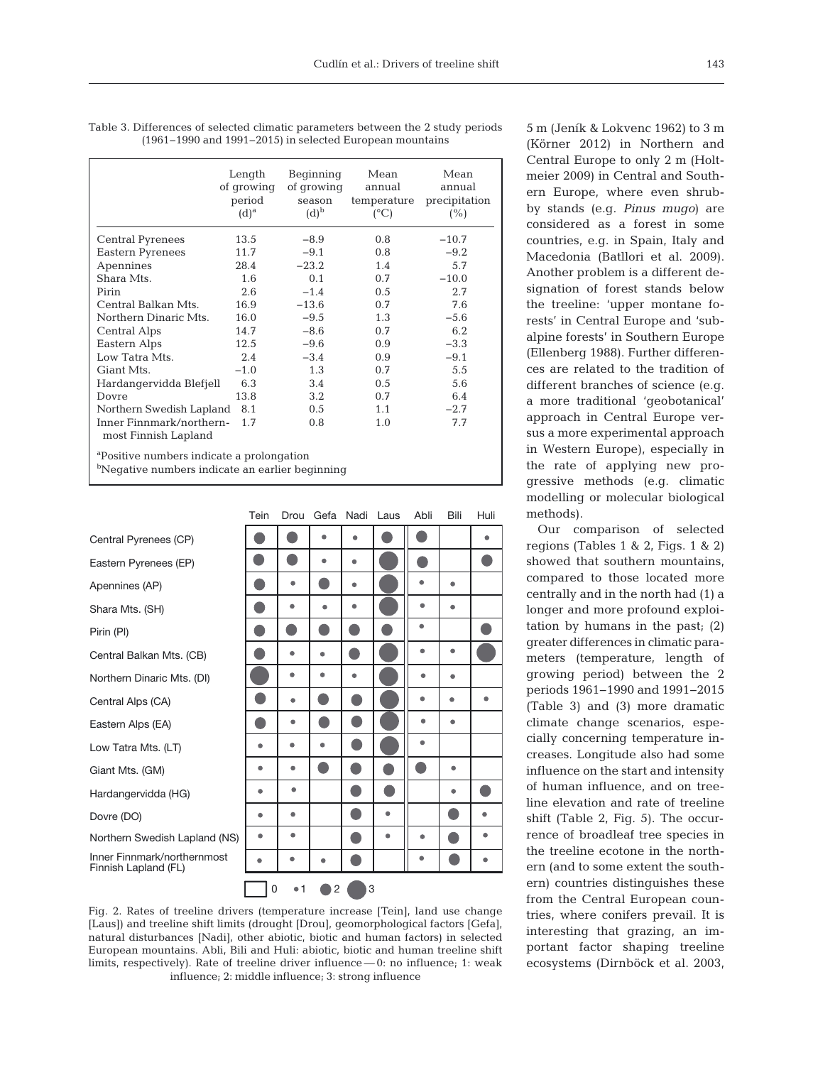|                                                  | Length<br>of growing<br>period<br>$(d)^a$ | Beginning<br>of growing<br>season<br>$(d)^b$ | Mean<br>annual<br>temperature<br>$(^{\circ}C)$ | Mean<br>annual<br>precipitation<br>(%) |
|--------------------------------------------------|-------------------------------------------|----------------------------------------------|------------------------------------------------|----------------------------------------|
| <b>Central Pyrenees</b>                          | 13.5                                      | $-8.9$                                       | 0.8                                            | $-10.7$                                |
| Eastern Pyrenees                                 | 11.7                                      | $-9.1$                                       | 0.8                                            | $-9.2$                                 |
| Apennines                                        | 28.4                                      | $-23.2$                                      | 1.4                                            | 5.7                                    |
| Shara Mts.                                       | 1.6                                       | 0.1                                          | 0.7                                            | $-10.0$                                |
| Pirin                                            | 2.6                                       | $-1.4$                                       | 0.5                                            | 2.7                                    |
| Central Balkan Mts.                              | 16.9                                      | $-13.6$                                      | 0.7                                            | 7.6                                    |
| Northern Dinaric Mts.                            | 16.0                                      | $-9.5$                                       | 1.3                                            | $-5.6$                                 |
| Central Alps                                     | 14.7                                      | $-8.6$                                       | 0.7                                            | 6.2                                    |
| Eastern Alps                                     | 12.5                                      | $-9.6$                                       | 0.9                                            | $-3.3$                                 |
| Low Tatra Mts.                                   | 2.4                                       | $-3.4$                                       | 0.9                                            | $-9.1$                                 |
| Giant Mts.                                       | $-1.0$                                    | 1.3                                          | 0.7                                            | 5.5                                    |
| Hardangervidda Blefjell                          | 6.3                                       | 3.4                                          | 0.5                                            | 5.6                                    |
| Dovre                                            | 13.8                                      | 3.2                                          | 0.7                                            | 6.4                                    |
| Northern Swedish Lapland 8.1                     |                                           | $0.5^{\circ}$                                | 1.1                                            | $-2.7$                                 |
| Inner Finnmark/northern-<br>most Finnish Lapland | 1.7                                       | 0.8                                          | 1.0                                            | 7.7                                    |

Table 3. Differences of selected climatic parameters between the 2 study periods (1961−1990 and 1991−2015) in selected European mountains

a Positive numbers indicate a prolongation

bNegative numbers indicate an earlier beginning

|                                                     | Tein | Drou | Gefa | Nadi | Laus | Abli | Bili | Huli |
|-----------------------------------------------------|------|------|------|------|------|------|------|------|
| Central Pyrenees (CP)                               |      |      |      |      |      |      |      |      |
| Eastern Pyrenees (EP)                               |      |      |      |      |      |      |      |      |
| Apennines (AP)                                      |      | ۰    |      | ۰    |      |      | ٠    |      |
| Shara Mts. (SH)                                     |      | ٠    | ۸    | ٠    |      | ٠    | ٠    |      |
| Pirin (PI)                                          |      |      |      |      |      | ۰    |      |      |
| Central Balkan Mts. (CB)                            |      | ٠    |      |      |      | ۰    |      |      |
| Northern Dinaric Mts. (DI)                          |      | ۰    |      |      |      | ٠    | ۰    |      |
| Central Alps (CA)                                   |      | ٠    |      |      |      | ۰    | ۰    |      |
| Eastern Alps (EA)                                   |      | ٠    |      |      |      | ٠    |      |      |
| Low Tatra Mts. (LT)                                 | ۰    | ۰    | ٠    |      |      |      |      |      |
| Giant Mts. (GM)                                     | ۰    |      |      |      |      |      |      |      |
| Hardangervidda (HG)                                 | ٠    | ٠    |      |      |      |      | ٠    |      |
| Dovre (DO)                                          |      | ۰    |      |      |      |      |      |      |
| Northern Swedish Lapland (NS)                       |      | ۰    |      |      |      | ۰    |      |      |
| Inner Finnmark/northernmost<br>Finnish Lapland (FL) |      | n    |      |      |      | ۰    |      |      |
|                                                     | 0    | •1   | 2    | 3    |      |      |      |      |

Fig. 2. Rates of treeline drivers (temperature increase [Tein], land use change [Laus]) and treeline shift limits (drought [Drou], geomorphological factors [Gefa], natural disturbances [Nadi], other abiotic, biotic and human factors) in selected European mountains. Abli, Bili and Huli: abiotic, biotic and human treeline shift limits, respectively). Rate of treeline driver influence — 0: no influence; 1: weak influence; 2: middle influence; 3: strong influence

5 m (Jeník & Lokvenc 1962) to 3 m (Körner 2012) in Northern and Central Europe to only 2 m (Holtmeier 2009) in Central and Southern Europe, where even shrubby stands (e.g. *Pinus mugo*) are considered as a forest in some countries, e.g. in Spain, Italy and Macedonia (Batllori et al. 2009). Another problem is a different designation of forest stands below the treeline: 'upper montane forests' in Central Europe and 'subalpine forests' in Southern Europe (Ellenberg 1988). Further differen ces are related to the tradition of different branches of science (e.g. a more traditional 'geobotanical' approach in Central Europe versus a more experimental approach in Western Europe), especially in the rate of applying new progressive methods (e.g. climatic modelling or molecular biological methods).

Our comparison of selected regions (Tables 1 & 2, Figs. 1 & 2) showed that southern mountains, compared to those located more centrally and in the north had (1) a longer and more profound exploitation by humans in the past; (2) greater differences in climatic para meters (temperature, length of growing period) between the 2 periods 1961−1990 and 1991−2015 (Table 3) and (3) more dramatic climate change scenarios, especially concerning temperature in creases. Longitude also had some influence on the start and intensity of human influence, and on treeline elevation and rate of treeline shift (Table 2, Fig. 5). The occurrence of broadleaf tree species in the treeline ecotone in the northern (and to some extent the southern) countries distinguishes these from the Central European countries, where conifers prevail. It is interesting that grazing, an important factor shaping treeline ecosystems (Dirnböck et al. 2003,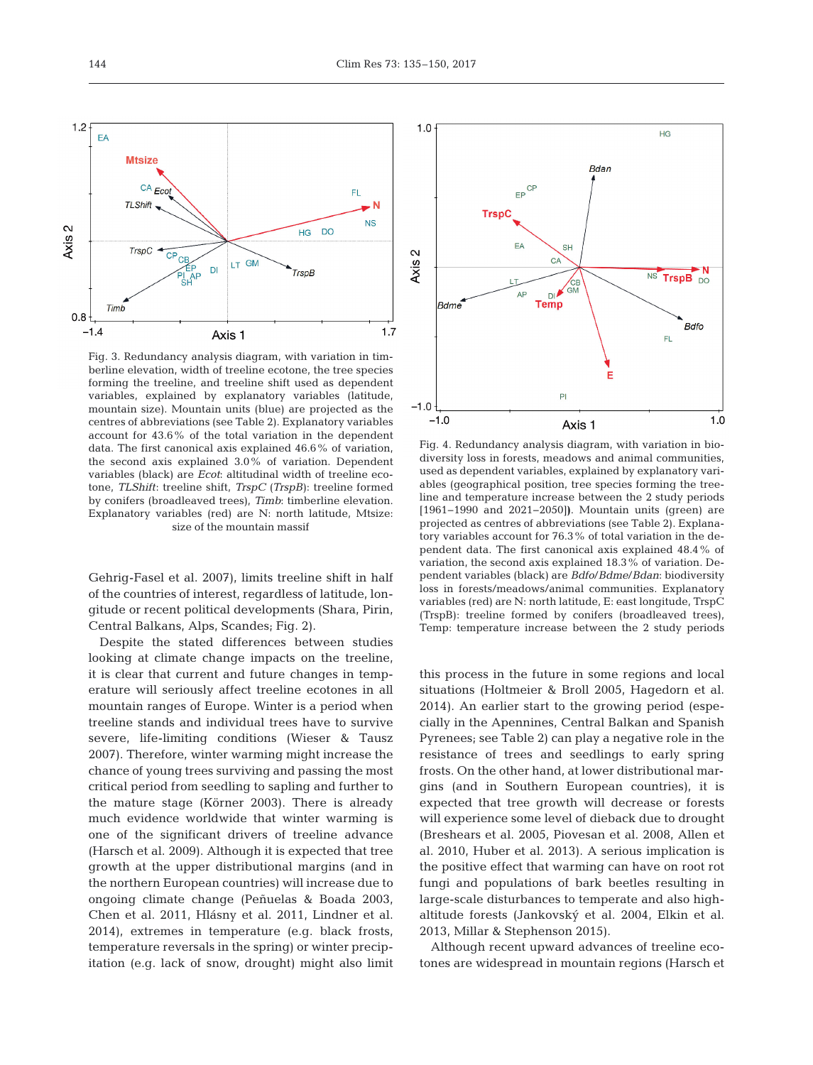FL.



data. The first canonical axis explained 46.6% of variation, the second axis explained 3.0% of variation. Dependent variables (black) are *Ecot*: altitudinal width of treeline ecotone, *TLShift*: treeline shift, *TrspC* (*TrspB*): treeline formed by conifers (broadleaved trees), *Timb*: timberline elevation. Explanatory variables (red) are N: north latitude, Mtsize: size of the mountain massif

Gehrig-Fasel et al. 2007), limits treeline shift in half of the countries of interest, regardless of latitude, longitude or recent political developments (Shara, Pirin, Central Balkans, Alps, Scandes; Fig. 2).

Despite the stated differences between studies looking at climate change impacts on the treeline, it is clear that current and future changes in temperature will seriously affect treeline ecotones in all mountain ranges of Europe. Winter is a period when treeline stands and individual trees have to survive severe, life-limiting conditions (Wieser & Tausz 2007). Therefore, winter warming might increase the chance of young trees surviving and passing the most critical period from seedling to sapling and further to the mature stage (Körner 2003). There is already much evidence worldwide that winter warming is one of the significant drivers of treeline advance (Harsch et al. 2009). Although it is expected that tree growth at the upper distributional margins (and in the northern European countries) will increase due to ongoing climate change (Peñuelas & Boada 2003, Chen et al. 2011, Hlásny et al. 2011, Lindner et al. 2014), extremes in temperature (e.g. black frosts, temperature reversals in the spring) or winter precipitation (e.g. lack of snow, drought) might also limit



Fig. 4. Redundancy analysis diagram, with variation in biodiversity loss in forests, meadows and animal communities, used as dependent variables, explained by explanatory variables (geographical position, tree species forming the treeline and temperature increase between the 2 study periods [1961−1990 and 2021−2050]**)**. Mountain units (green) are projected as centres of abbreviations (see Table 2). Explanatory variables account for 76.3% of total variation in the dependent data. The first canonical axis explained 48.4% of variation, the second axis explained 18.3% of variation. Dependent variables (black) are *Bdfo*/*Bdme*/*Bdan*: biodiversity loss in forests/meadows/animal communities. Explanatory variables (red) are N: north latitude, E: east longitude, TrspC (TrspB): treeline formed by conifers (broadleaved trees), Temp: temperature increase between the 2 study periods

this process in the future in some regions and local situations (Holtmeier & Broll 2005, Hagedorn et al. 2014). An earlier start to the growing period (especially in the Apennines, Central Balkan and Spanish Pyrenees; see Table 2) can play a negative role in the resistance of trees and seedlings to early spring frosts. On the other hand, at lower distributional margins (and in Southern European countries), it is expected that tree growth will decrease or forests will experience some level of dieback due to drought (Breshears et al. 2005, Piovesan et al. 2008, Allen et al. 2010, Huber et al. 2013). A serious implication is the positive effect that warming can have on root rot fungi and populations of bark beetles resulting in large-scale disturbances to temperate and also highaltitude forests (Jankovský et al. 2004, Elkin et al. 2013, Millar & Stephenson 2015).

Although recent upward advances of treeline ecotones are widespread in mountain regions (Harsch et

EA

**Mtsize** 

 $CA_{ECO}$ 

 $1.2$ 

Axis 2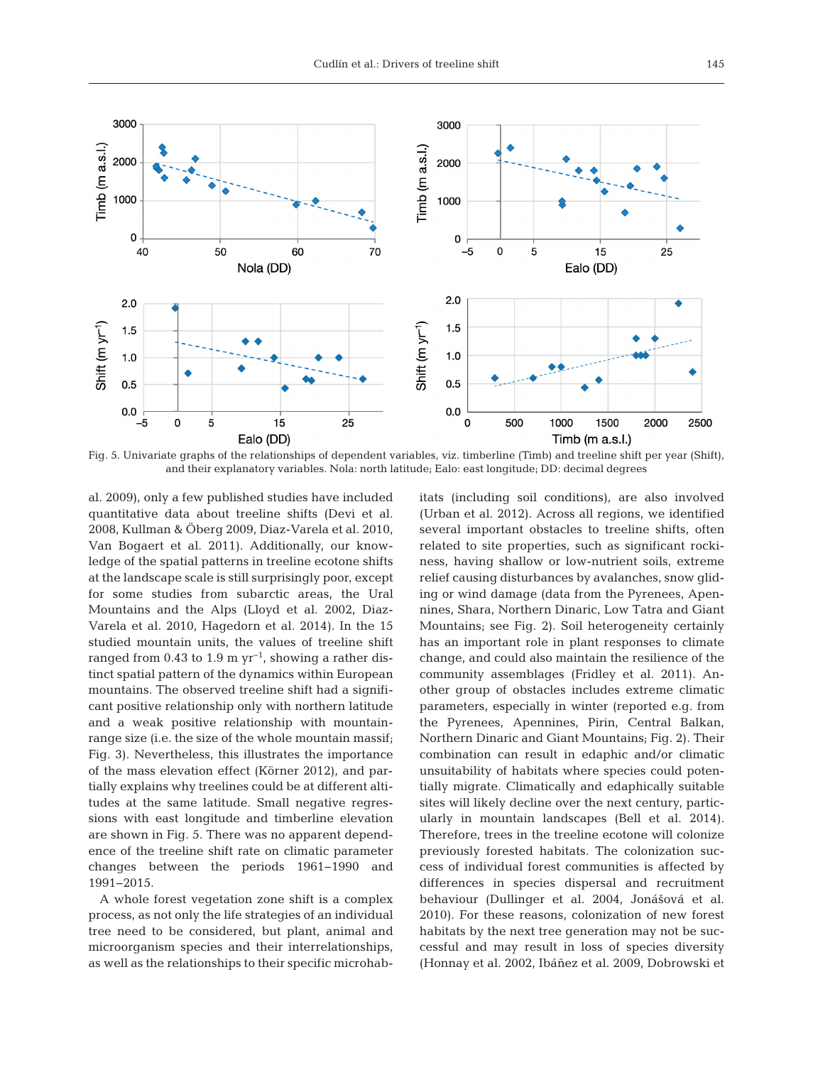

Fig. 5. Univariate graphs of the relationships of dependent variables, viz. timberline (Timb) and treeline shift per year (Shift), and their explanatory variables. Nola: north latitude; Ealo: east longitude; DD: decimal degrees

al. 2009), only a few published studies have included quantitative data about treeline shifts (Devi et al. 2008, Kullman & Öberg 2009, Diaz-Varela et al. 2010, Van Bogaert et al. 2011). Additionally, our knowledge of the spatial patterns in treeline ecotone shifts at the landscape scale is still surprisingly poor, except for some studies from subarctic areas, the Ural Mountains and the Alps (Lloyd et al. 2002, Diaz-Varela et al. 2010, Hagedorn et al. 2014). In the 15 studied mountain units, the values of treeline shift ranged from 0.43 to 1.9 m  $yr^{-1}$ , showing a rather distinct spatial pattern of the dynamics within European mountains. The observed treeline shift had a significant positive relationship only with northern latitude and a weak positive relationship with mountainrange size (i.e. the size of the whole mountain massif; Fig. 3). Nevertheless, this illustrates the importance of the mass elevation effect (Körner 2012), and partially explains why treelines could be at different altitudes at the same latitude. Small negative regressions with east longitude and timberline elevation are shown in Fig. 5. There was no apparent dependence of the treeline shift rate on climatic parameter changes between the periods 1961−1990 and 1991−2015.

A whole forest vegetation zone shift is a complex process, as not only the life strategies of an individual tree need to be considered, but plant, animal and microorganism species and their interrelationships, as well as the relationships to their specific microhabitats (including soil conditions), are also involved (Urban et al. 2012). Across all regions, we identified several important obstacles to treeline shifts, often related to site properties, such as significant rockiness, having shallow or low-nutrient soils, extreme relief causing disturbances by avalanches, snow gliding or wind damage (data from the Pyrenees, Apennines, Shara, Northern Dinaric, Low Tatra and Giant Mountains; see Fig. 2). Soil heterogeneity certainly has an important role in plant responses to climate change, and could also maintain the resilience of the community assemblages (Fridley et al. 2011). Another group of obstacles includes extreme climatic parameters, especially in winter (reported e.g. from the Pyrenees, Apennines, Pirin, Central Balkan, Northern Dinaric and Giant Mountains; Fig. 2). Their combination can result in edaphic and/or climatic unsuitability of habitats where species could potentially migrate. Climatically and edaphically suitable sites will likely decline over the next century, particularly in mountain landscapes (Bell et al. 2014). Therefore, trees in the treeline ecotone will colonize previously forested habitats. The colonization success of individual forest communities is affected by differences in species dispersal and recruitment behaviour (Dullinger et al. 2004, Jonášová et al. 2010). For these reasons, colonization of new forest habitats by the next tree generation may not be successful and may result in loss of species diversity (Honnay et al. 2002, Ibáñez et al. 2009, Dobrowski et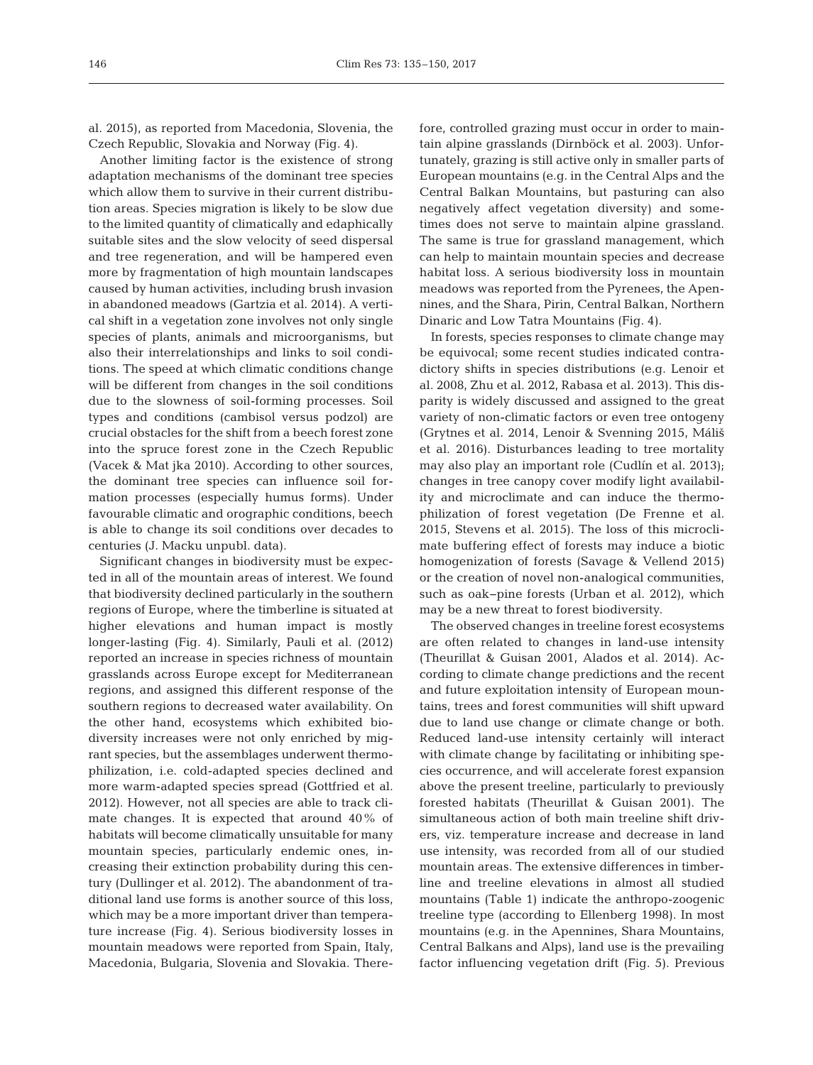al. 2015), as reported from Macedonia, Slovenia, the Czech Republic, Slovakia and Norway (Fig. 4).

Another limiting factor is the existence of strong adaptation mechanisms of the dominant tree species which allow them to survive in their current distribution areas. Species migration is likely to be slow due to the limited quantity of climatically and edaphically suitable sites and the slow velocity of seed dispersal and tree regeneration, and will be hampered even more by fragmentation of high mountain landscapes caused by human activities, including brush invasion in abandoned meadows (Gartzia et al. 2014). A vertical shift in a vegetation zone involves not only single species of plants, animals and microorganisms, but also their interrelationships and links to soil conditions. The speed at which climatic conditions change will be different from changes in the soil conditions due to the slowness of soil-forming processes. Soil types and conditions (cambisol versus podzol) are crucial obstacles for the shift from a beech forest zone into the spruce forest zone in the Czech Republic (Vacek & Mat jka 2010). According to other sources, the dominant tree species can influence soil for mation processes (especially humus forms). Under favourable climatic and orographic conditions, beech is able to change its soil conditions over decades to centuries (J. Macku unpubl. data).

Significant changes in biodiversity must be expec ted in all of the mountain areas of interest. We found that biodiversity declined particularly in the southern regions of Europe, where the timberline is situated at higher elevations and human impact is mostly longer-lasting (Fig. 4). Similarly, Pauli et al. (2012) reported an increase in species richness of mountain grasslands across Europe except for Mediterranean regions, and assigned this different response of the southern regions to decreased water availability. On the other hand, ecosystems which exhibited biodiversity increases were not only enriched by migrant species, but the assemblages underwent thermo philization, i.e. cold-adapted species declined and more warm-adapted species spread (Gottfried et al. 2012). However, not all species are able to track climate changes. It is expected that around 40% of habitats will become climatically unsuitable for many mountain species, particularly endemic ones, increasing their extinction probability during this century (Dullinger et al. 2012). The abandonment of traditional land use forms is another source of this loss, which may be a more important driver than temperature increase (Fig. 4). Serious biodiversity losses in mountain meadows were reported from Spain, Italy, Macedonia, Bulgaria, Slovenia and Slovakia. Therefore, controlled grazing must occur in order to maintain alpine grasslands (Dirnböck et al. 2003). Unfortunately, grazing is still active only in smaller parts of European mountains (e.g. in the Central Alps and the Central Balkan Mountains, but pasturing can also negatively affect vegetation diversity) and sometimes does not serve to maintain alpine grassland. The same is true for grassland management, which can help to maintain mountain species and decrease habitat loss. A serious biodiversity loss in mountain meadows was reported from the Pyrenees, the Apennines, and the Shara, Pirin, Central Balkan, Northern Dinaric and Low Tatra Mountains (Fig. 4).

In forests, species responses to climate change may be equivocal; some recent studies indicated contradictory shifts in species distributions (e.g. Lenoir et al. 2008, Zhu et al. 2012, Rabasa et al. 2013). This disparity is widely discussed and assigned to the great variety of non-climatic factors or even tree ontogeny (Grytnes et al. 2014, Lenoir & Svenning 2015, Máliš et al. 2016). Disturbances leading to tree mortality may also play an important role (Cudlín et al. 2013); changes in tree canopy cover modify light availability and microclimate and can induce the thermophilization of forest vegetation (De Frenne et al. 2015, Stevens et al. 2015). The loss of this microclimate buffering effect of forests may induce a biotic homogenization of forests (Savage & Vellend 2015) or the creation of novel non-analogical communities, such as oak−pine forests (Urban et al. 2012), which may be a new threat to forest biodiversity.

The observed changes in treeline forest ecosystems are often related to changes in land-use intensity (Theurillat & Guisan 2001, Alados et al. 2014). Ac cording to climate change predictions and the recent and future exploitation intensity of European mountains, trees and forest communities will shift upward due to land use change or climate change or both. Reduced land-use intensity certainly will interact with climate change by facilitating or inhibiting species occurrence, and will accelerate forest expansion above the present treeline, particularly to previously forested habitats (Theurillat & Guisan 2001). The simultaneous action of both main treeline shift drivers, viz. temperature increase and decrease in land use intensity, was recorded from all of our studied mountain areas. The extensive differences in timberline and treeline elevations in almost all studied mountains (Table 1) indicate the anthropo-zoogenic treeline type (according to Ellenberg 1998). In most mountains (e.g. in the Apennines, Shara Mountains, Central Balkans and Alps), land use is the prevailing factor influencing vegetation drift (Fig. 5). Previous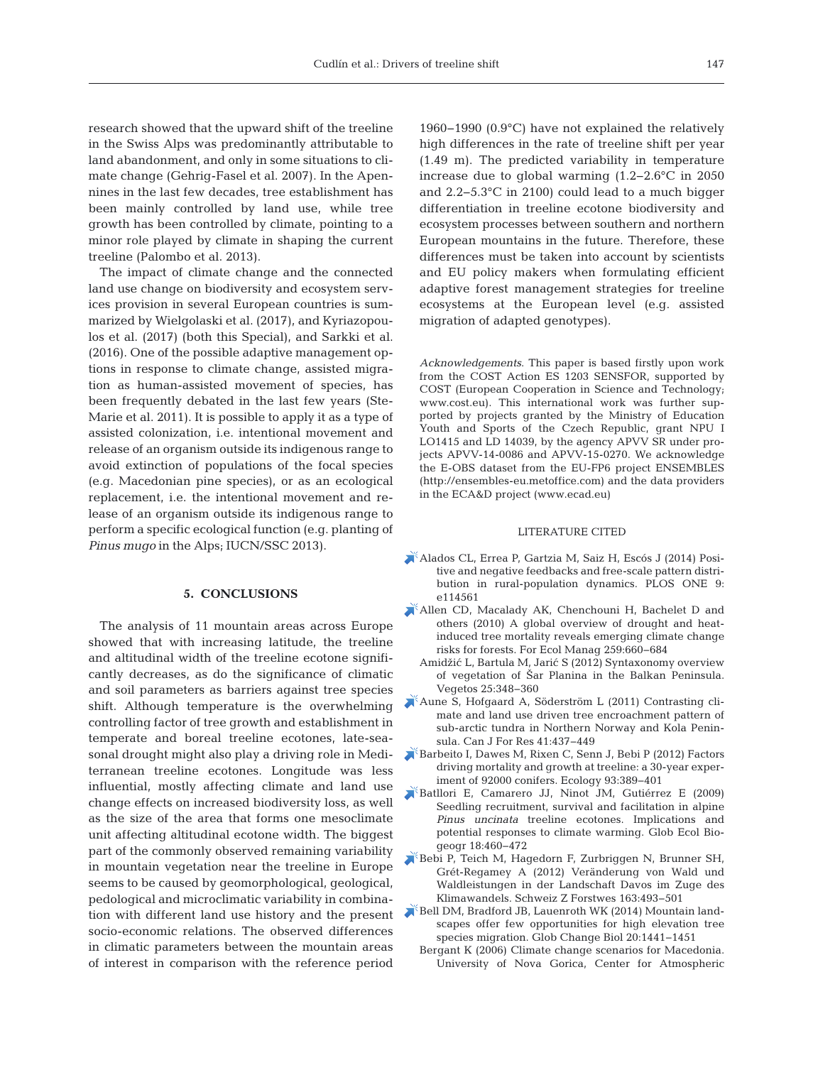research showed that the upward shift of the treeline in the Swiss Alps was predominantly attributable to land abandonment, and only in some situations to climate change (Gehrig-Fasel et al. 2007). In the Apennines in the last few decades, tree establishment has been mainly controlled by land use, while tree growth has been controlled by climate, pointing to a minor role played by climate in shaping the current treeline (Palombo et al. 2013).

The impact of climate change and the connected land use change on biodiversity and ecosystem services provision in several European countries is summarized by Wielgolaski et al. (2017), and Kyriazopoulos et al. (2017) (both this Special), and Sarkki et al. (2016). One of the possible adaptive management options in response to climate change, assisted migration as human-assisted movement of species, has been frequently debated in the last few years (Ste-Marie et al. 2011). It is possible to apply it as a type of assisted colonization, i.e. intentional movement and release of an organism outside its indigenous range to avoid extinction of populations of the focal species (e.g. Macedonian pine species), or as an ecological replacement, i.e. the intentional movement and release of an organism outside its indigenous range to perform a specific ecological function (e.g. planting of *Pinus mugo* in the Alps; IUCN/SSC 2013).

#### **5. CONCLUSIONS**

The analysis of 11 mountain areas across Europe showed that with increasing latitude, the treeline and altitudinal width of the treeline ecotone significantly decreases, as do the significance of climatic and soil parameters as barriers against tree species shift. Although temperature is the overwhelming controlling factor of tree growth and establishment in temperate and boreal treeline ecotones, late-seasonal drought might also play a driving role in Mediterranean treeline ecotones. Longitude was less influential, mostly affecting climate and land use change effects on increased biodiversity loss, as well as the size of the area that forms one mesoclimate unit affecting altitudinal ecotone width. The biggest part of the commonly observed remaining variability in mountain vegetation near the treeline in Europe seems to be caused by geomorphological, geological, pedological and microclimatic variability in combination with different land use history and the present socio-economic relations. The observed differences in climatic parameters between the mountain areas of interest in comparison with the reference period

1960−1990 (0.9°C) have not explained the relatively high differences in the rate of treeline shift per year (1.49 m). The predicted variability in temperature increase due to global warming (1.2−2.6°C in 2050 and 2.2−5.3°C in 2100) could lead to a much bigger differentiation in treeline ecotone biodiversity and ecosystem processes between southern and northern European mountains in the future. Therefore, these differences must be taken into account by scientists and EU policy makers when formulating efficient adaptive forest management strategies for treeline ecosystems at the European level (e.g. assisted migration of adapted genotypes).

*Acknowledgements*. This paper is based firstly upon work from the COST Action ES 1203 SENSFOR, supported by COST (European Cooperation in Science and Technology; www.cost.eu). This international work was further supported by projects granted by the Ministry of Education Youth and Sports of the Czech Republic, grant NPU I LO1415 and LD 14039, by the agency APVV SR under projects APVV-14-0086 and APVV-15-0270. We acknowledge the E-OBS dataset from the EU-FP6 project ENSEMBLES (http://ensembles-eu.metoffice.com) and the data providers in the ECA&D project (www.ecad.eu)

#### LITERATURE CITED

- [Alados CL, Errea P, Gartzia M, Saiz H, Escós J \(2014\) Posi](https://doi.org/10.1371/journal.pone.0114561)tive and negative feedbacks and free-scale pattern distribution in rural-population dynamics. PLOS ONE 9: e114561
- [Allen CD, Macalady AK, Chenchouni H, Bachelet D and](https://doi.org/10.1016/j.foreco.2009.09.001) others (2010) A global overview of drought and heatinduced tree mortality reveals emerging climate change risks for forests. For Ecol Manag 259:660-684
	- Amidžić L, Bartula M, Jarić S (2012) Syntaxonomy overview of vegetation of Šar Planina in the Balkan Peninsula. Vegetos 25: 348−360
- [Aune S, Hofgaard A, Söderström L \(2011\) Contrasting cli](https://doi.org/10.1139/X10-086)mate and land use driven tree encroachment pattern of sub-arctic tundra in Northern Norway and Kola Peninsula. Can J For Res 41:437-449
- [Barbeito I, Dawes M, Rixen C, Senn J, Bebi P \(2012\) Factors](https://doi.org/10.1890/11-0384.1) driving mortality and growth at treeline: a 30-year experiment of 92000 conifers. Ecology 93: 389−401
- [Batllori E, Camarero JJ, Ninot JM, Gutiérrez E \(2009\)](https://doi.org/10.1111/j.1466-8238.2009.00464.x) Seedling recruitment, survival and facilitation in alpine *Pinus uncinata* treeline ecotones. Implications and potential responses to climate warming. Glob Ecol Biogeogr 18:460-472
- [Bebi P, Teich M, Hagedorn F, Zurbriggen N, Brunner SH,](https://doi.org/10.3188/szf.2012.0493) Grét-Regamey A (2012) Veränderung von Wald und Waldleistungen in der Landschaft Davos im Zuge des Klimawandels. Schweiz Z Forstwes 163: 493−501
- [Bell DM, Bradford JB, Lauenroth WK \(2014\) Mountain land](https://doi.org/10.1111/gcb.12504)scapes offer few opportunities for high elevation tree species migration. Glob Change Biol 20: 1441−1451
	- Bergant K (2006) Climate change scenarios for Macedonia. University of Nova Gorica, Center for Atmospheric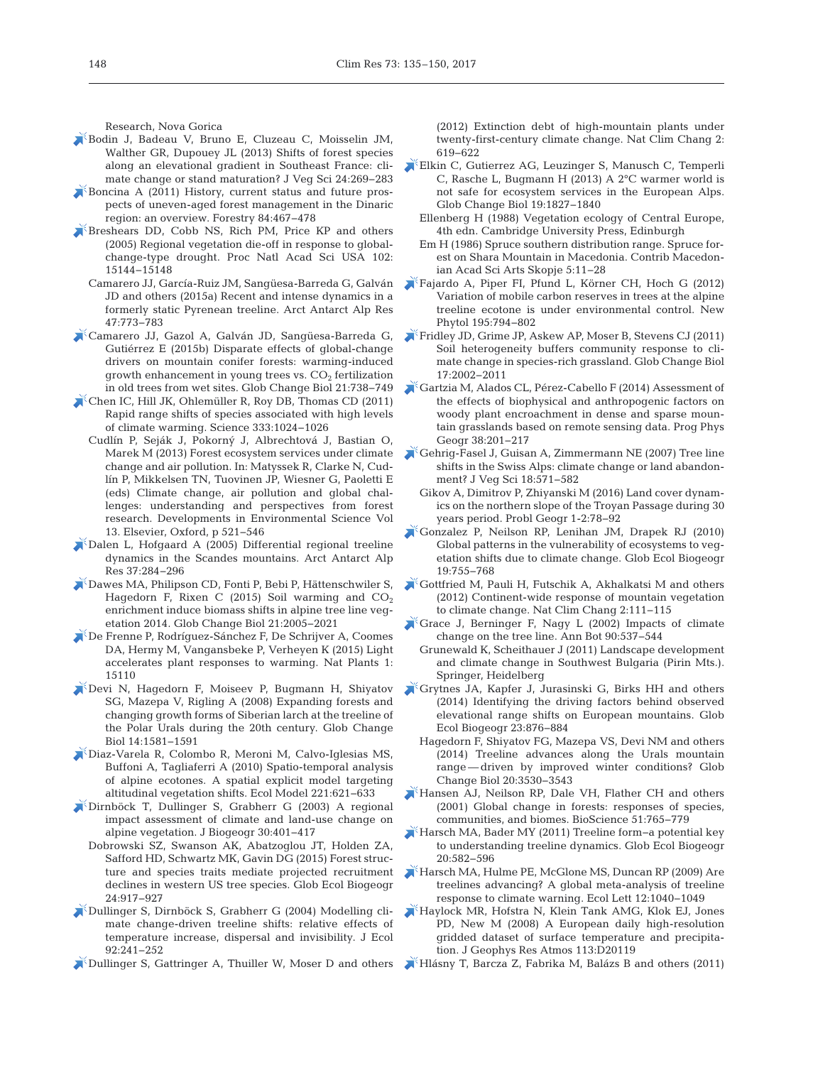Research, Nova Gorica

- [Bodin J, Badeau V, Bruno E, Cluzeau C, Moisselin JM,](https://doi.org/10.1111/j.1654-1103.2012.01456.x) Walther GR, Dupouey JL (2013) Shifts of forest species along an elevational gradient in Southeast France: climate change or stand maturation? J Veg Sci 24:269-283
- Boncina A (2011) History, current status and future prospects of uneven-aged forest management in the Dinaric region: an overview. Forestry 84:467-478
- [Breshears DD, Cobb NS, Rich PM, Price KP and others](https://doi.org/10.1073/pnas.0505734102) (2005) Regional vegetation die-off in response to globalchange-type drought. Proc Natl Acad Sci USA 102: 15144−15148
	- Camarero JJ, García-Ruiz JM, Sangüesa-Barreda G, Galván JD and others (2015a) Recent and intense dynamics in a formerly static Pyrenean treeline. Arct Antarct Alp Res 47: 773−783
- [Camarero JJ, Gazol A, Galván JD, Sangüesa-Barreda G,](https://doi.org/10.1111/gcb.12787) Gutiérrez E (2015b) Disparate effects of global-change drivers on mountain conifer forests: warming-induced growth enhancement in young trees vs.  $CO<sub>2</sub>$  fertilization in old trees from wet sites. Glob Change Biol 21: 738−749
- [Chen IC, Hill JK, Ohlemüller R, Roy DB, Thomas CD \(2011\)](https://doi.org/10.1126/science.1206432) Rapid range shifts of species associated with high levels of climate warming. Science 333: 1024−1026
- Cudlín P, Seják J, Pokorný J, Albrechtová J, Bastian O, Marek M (2013) Forest ecosystem services under climate change and air pollution. In: Matyssek R, Clarke N, Cudlín P, Mikkelsen TN, Tuovinen JP, Wiesner G, Paoletti E (eds) Climate change, air pollution and global challenges: understanding and perspectives from forest research. Developments in Environmental Science Vol 13. Elsevier, Oxford, p 521−546
- [Dalen L, Hofgaard A \(2005\) Differential regional treeline](https://doi.org/10.1657/1523-0430(2005)037[0284%3ADRTDIT]2.0.CO%3B2) dynamics in the Scandes mountains. Arct Antarct Alp Res 37: 284−296
- [Dawes MA, Philipson CD, Fonti P, Bebi P, Hättenschwiler S,](https://doi.org/10.1111/gcb.12819) Hagedorn F, Rixen C (2015) Soil warming and  $CO<sub>2</sub>$ enrichment induce biomass shifts in alpine tree line vegetation 2014. Glob Change Biol 21: 2005−2021
- [De Frenne P, Rodríguez-Sánchez F, De Schrijver A, Coomes](https://www.ncbi.nlm.nih.gov/entrez/query.fcgi?cmd=Retrieve&db=PubMed&list_uids=27250675&dopt=Abstract) DA, Hermy M, Vangansbeke P, Verheyen K (2015) Light accelerates plant responses to warming. Nat Plants 1: 15110
- [Devi N, Hagedorn F, Moiseev P, Bugmann H, Shiyatov](https://doi.org/10.1111/j.1365-2486.2008.01583.x) SG, Mazepa V, Rigling A (2008) Expanding forests and changing growth forms of Siberian larch at the treeline of the Polar Urals during the 20th century. Glob Change Biol 14: 1581−1591
- [Diaz-Varela R, Colombo R, Meroni M, Calvo-Iglesias MS,](https://doi.org/10.1016/j.ecolmodel.2009.11.010) Buffoni A, Tagliaferri A (2010) Spatio-temporal analysis of alpine ecotones. A spatial explicit model targeting altitudinal vegetation shifts. Ecol Model 221: 621−633
- [Dirnböck T, Dullinger S, Grabherr G \(2003\) A regional](https://doi.org/10.1046/j.1365-2699.2003.00839.x) impact assessment of climate and land-use change on alpine vegetation. J Biogeogr 30: 401−417
	- Dobrowski SZ, Swanson AK, Abatzoglou JT, Holden ZA, Safford HD, Schwartz MK, Gavin DG (2015) Forest structure and species traits mediate projected recruitment declines in western US tree species. Glob Ecol Biogeogr 24: 917−927
- [Dullinger S, Dirnböck S, Grabherr G \(2004\) Modelling cli](https://doi.org/10.1111/j.0022-0477.2004.00872.x)mate change-driven treeline shifts: relative effects of temperature increase, dispersal and invisibility. J Ecol 92: 241−252
- [Dullinger S, Gattringer A, Thuiller W, Moser D and others](https://doi.org/10.1038/nclimate1514)

(2012) Extinction debt of high-mountain plants under twenty-first-century climate change. Nat Clim Chang 2: 619−622

- [Elkin C, Gutierrez AG, Leuzinger S, Manusch C, Temperli](https://doi.org/10.1111/gcb.12156) C, Rasche L, Bugmann H (2013) A 2°C warmer world is not safe for ecosystem services in the European Alps. Glob Change Biol 19: 1827−1840
	- Ellenberg H (1988) Vegetation ecology of Central Europe, 4th edn. Cambridge University Press, Edinburgh
	- Em H (1986) Spruce southern distribution range. Spruce forest on Shara Mountain in Macedonia. Contrib Macedonian Acad Sci Arts Skopje 5: 11−28
- [Fajardo A, Piper FI, Pfund L, Körner CH, Hoch G \(2012\)](https://doi.org/10.1111/j.1469-8137.2012.04214.x) Variation of mobile carbon reserves in trees at the alpine treeline ecotone is under environmental control. New Phytol 195:794-802
- [Fridley JD, Grime JP, Askew AP, Moser B, Stevens CJ \(2011\)](https://doi.org/10.1111/j.1365-2486.2010.02347.x) Soil heterogeneity buffers community response to climate change in species-rich grassland. Glob Change Biol 17: 2002−2011
- [Gartzia M, Alados CL, Pérez-Cabello F \(2014\) Assessment of](https://doi.org/10.1177/0309133314524429) the effects of biophysical and anthropogenic factors on woody plant encroachment in dense and sparse mountain grasslands based on remote sensing data. Prog Phys Geogr 38:201-217
- [Gehrig-Fasel J, Guisan A, Zimmermann NE \(2007\) Tree line](https://doi.org/10.1111/j.1654-1103.2007.tb02571.x) shifts in the Swiss Alps: climate change or land abandonment? J Veg Sci 18:571-582
	- Gikov A, Dimitrov P, Zhiyanski M (2016) Land cover dynamics on the northern slope of the Troyan Passage during 30 years period. Probl Geogr 1-2: 78−92
- [Gonzalez P, Neilson RP, Lenihan JM, Drapek RJ \(2010\)](https://doi.org/10.1111/j.1466-8238.2010.00558.x) Global patterns in the vulnerability of ecosystems to vegetation shifts due to climate change. Glob Ecol Biogeogr 19: 755−768
- [Gottfried M, Pauli H, Futschik A, Akhalkatsi M and others](https://doi.org/10.1038/nclimate1329) (2012) Continent-wide response of mountain vegetation to climate change. Nat Clim Chang 2: 111−115
- [Grace J, Berninger F, Nagy L \(2002\) Impacts of climate](https://doi.org/10.1093/aob/mcf222) change on the tree line. Ann Bot 90:537-544
	- Grunewald K, Scheithauer J (2011) Landscape development and climate change in Southwest Bulgaria (Pirin Mts.). Springer, Heidelberg
- [Grytnes JA, Kapfer J, Jurasinski G, Birks HH and others](https://doi.org/10.1111/geb.12170) (2014) Identifying the driving factors behind observed elevational range shifts on European mountains. Glob Ecol Biogeogr 23: 876−884
	- Hagedorn F, Shiyatov FG, Mazepa VS, Devi NM and others (2014) Treeline advances along the Urals mountain range — driven by improved winter conditions? Glob Change Biol 20:3530-3543
- [Hansen AJ, Neilson RP, Dale VH, Flather CH and others](https://doi.org/10.1641/0006-3568(2001)051[0765%3AGCIFRO]2.0.CO%3B2)  $(2001)$  Global change in forests: responses of species, communities, and biomes. BioScience 51: 765−779
- [Harsch MA, Bader MY \(2011\) Treeline form−a potential key](https://doi.org/10.1111/j.1466-8238.2010.00622.x) to understanding treeline dynamics. Glob Ecol Biogeogr 20: 582−596
- [Harsch MA, Hulme PE, McGlone MS, Duncan RP \(2009\) Are](https://doi.org/10.1111/j.1461-0248.2009.01355.x) treelines advancing? A global meta-analysis of treeline response to climate warning. Ecol Lett 12: 1040−1049
- [Haylock MR, Hofstra N, Klein Tank AMG, Klok EJ, Jones](https://doi.org/10.1029/2008JD010201) PD, New M (2008) A European daily high-resolution gridded dataset of surface temperature and precipitation. J Geophys Res Atmos 113:D20119
- [Hlásny T, Barcza Z, Fabrika M, Balázs B and others \(2011\)](https://doi.org/10.3354/cr01024)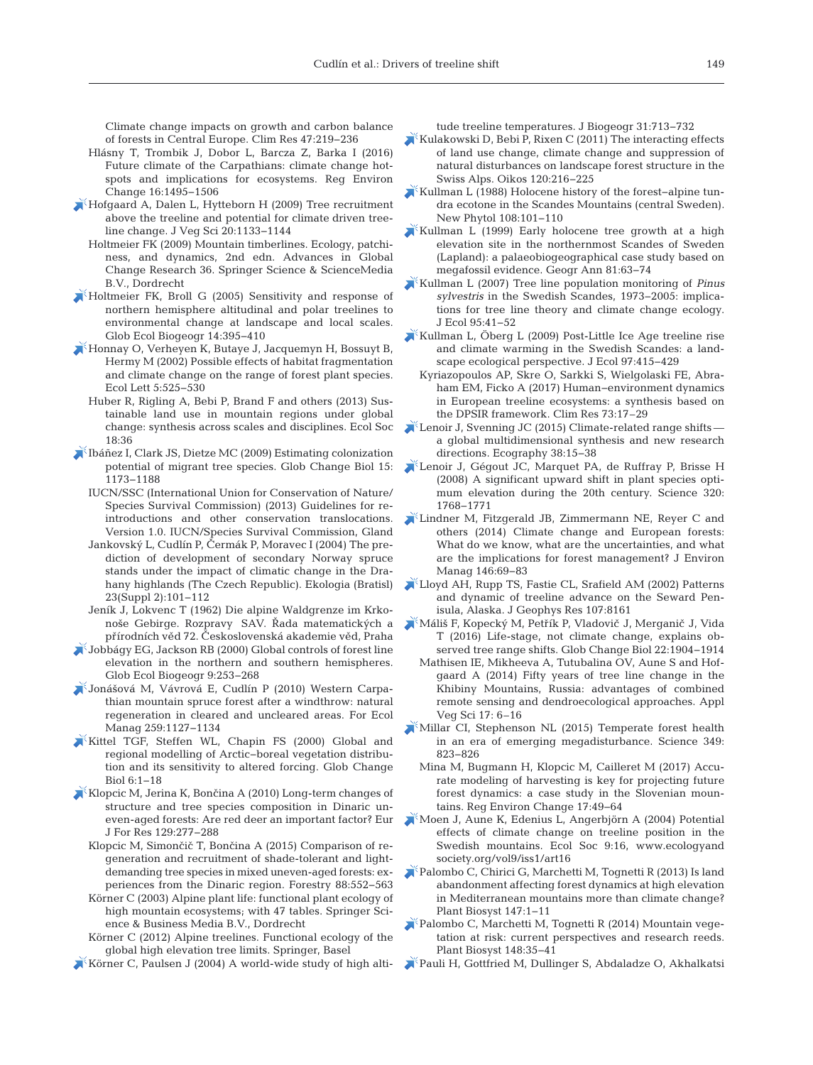Climate change impacts on growth and carbon balance of forests in Central Europe. Clim Res 47: 219−236

- Hlásny T, Trombik J, Dobor L, Barcza Z, Barka I (2016) Future climate of the Carpathians: climate change hotspots and implications for ecosystems. Reg Environ Change 16: 1495−1506
- [Hofgaard A, Dalen L, Hytteborn H \(2009\) Tree recruitment](https://doi.org/10.1111/j.1654-1103.2009.01114.x) above the treeline and potential for climate driven treeline change. J Veg Sci 20: 1133−1144
	- Holtmeier FK (2009) Mountain timberlines. Ecology, patchiness, and dynamics, 2nd edn. Advances in Global Change Research 36. Springer Science & ScienceMedia B.V., Dordrecht
- [Holtmeier FK, Broll G \(2005\) Sensitivity and response of](https://doi.org/10.1111/j.1466-822X.2005.00168.x) northern hemisphere altitudinal and polar treelines to environmental change at landscape and local scales. Glob Ecol Biogeogr 14: 395−410
- [Honnay O, Verheyen K, Butaye J, Jacquemyn H, Bossuyt B,](https://doi.org/10.1046/j.1461-0248.2002.00346.x) Hermy M (2002) Possible effects of habitat fragmentation and climate change on the range of forest plant species. Ecol Lett 5: 525−530
	- Huber R, Rigling A, Bebi P, Brand F and others (2013) Sustainable land use in mountain regions under global change: synthesis across scales and disciplines. Ecol Soc 18: 36
- [Ibáñez I, Clark JS, Dietze MC \(2009\) Estimating colonization](https://doi.org/10.1111/j.1365-2486.2008.01777.x) potential of migrant tree species. Glob Change Biol 15: 1173−1188
	- IUCN/SSC (International Union for Conservation of Nature/ Species Survival Commission) (2013) Guidelines for re introductions and other conservation translocations. Version 1.0. IUCN/Species Survival Commission, Gland
	- Jankovský L, Cudlín P, Čermák P, Moravec I (2004) The prediction of development of secondary Norway spruce stands under the impact of climatic change in the Drahany highlands (The Czech Republic). Ekologia (Bratisl) 23(Suppl 2): 101−112
	- Jeník J, Lokvenc T (1962) Die alpine Waldgrenze im Krkonoše Gebirge. Rozpravy SAV. Řada matematických a přírodních věd 72. Československá akademie věd, Praha
- [Jobbágy EG, Jackson RB \(2000\) Global controls of forest line](https://doi.org/10.1046/j.1365-2699.2000.00162.x) elevation in the northern and southern hemispheres. Glob Ecol Biogeogr 9: 253−268
- [Jonášová M, Vávrová E, Cudlín P \(2010\) Western Carpa](https://doi.org/10.1016/j.foreco.2009.12.027)  thian mountain spruce forest after a windthrow: natural regeneration in cleared and uncleared areas. For Ecol Manag 259:1127-1134
- [Kittel TGF, Steffen WL, Chapin FS \(2000\) Global and](https://doi.org/10.1046/j.1365-2486.2000.06011.x) regional modelling of Arctic−boreal vegetation distribution and its sensitivity to altered forcing. Glob Change Biol 6: 1−18
- Klopcic M, Jerina K, Bonč[ina A \(2010\) Long-term changes of](https://doi.org/10.1007/s10342-009-0325-z) structure and tree species composition in Dinaric un even- aged forests:Are red deer an important factor? Eur J For Res 129: 277−288
	- Klopcic M, Simončič T, Bončina A (2015) Comparison of regeneration and recruitment of shade-tolerant and lightdemanding tree species in mixed uneven-aged forests: experiences from the Dinaric region. Forestry 88:552-563
	- Körner C (2003) Alpine plant life: functional plant ecology of high mountain ecosystems; with 47 tables. Springer Science & Business Media B.V., Dordrecht
	- Körner C (2012) Alpine treelines. Functional ecology of the global high elevation tree limits. Springer, Basel

[Körner C, Paulsen J \(2004\) A world-wide study of high alti-](https://doi.org/10.1111/j.1365-2699.2003.01043.x)

tude treeline temperatures. J Biogeogr 31:713−732

- [Kulakowski D, Bebi P, Rixen C \(2011\) The interacting effects](https://doi.org/10.1111/j.1600-0706.2010.18726.x) of land use change, climate change and suppression of natural disturbances on landscape forest structure in the Swiss Alps. Oikos 120:216-225
- [Kullman L \(1988\) Holocene history of the forest−alpine tun](https://doi.org/10.1111/j.1469-8137.1988.tb00209.x)dra ecotone in the Scandes Mountains (central Sweden). New Phytol 108:101-110
- [Kullman L \(1999\) Early holocene tree growth at a high](https://doi.org/10.1111/j.0435-3676.1999.00049.x) elevation site in the northernmost Scandes of Sweden (Lapland): a palaeobiogeographical case study based on megafossil evidence. Geogr Ann 81:63-74
- [Kullman L \(2007\) Tree line population monitoring of](https://doi.org/10.1111/j.1365-2745.2006.01190.x) *Pinus sylvestris* in the Swedish Scandes, 1973–2005: implications for tree line theory and climate change ecology. J Ecol 95: 41−52
- [Kullman L, Öberg L \(2009\) Post-Little Ice Age treeline rise](https://doi.org/10.1111/j.1365-2745.2009.01488.x) and climate warming in the Swedish Scandes: a landscape ecological perspective. J Ecol 97:415−429
- Kyriazopoulos AP, Skre O, Sarkki S, Wielgolaski FE, Abraham EM, Ficko A (2017) Human−environment dynamics in European treeline ecosystems: a synthesis based on the DPSIR framework. Clim Res 73: 17–29
- [Lenoir J, Svenning JC \(2015\) Climate-related range shifts](https://doi.org/10.1111/ecog.00967)  a global multidimensional synthesis and new research directions. Ecography 38: 15−38
- [Lenoir J, Gégout JC, Marquet PA, de Ruffray P, Brisse H](https://doi.org/10.1126/science.1156831) (2008) A significant upward shift in plant species optimum elevation during the 20th century. Science 320: 1768−1771
- [Lindner M, Fitzgerald JB, Zimmermann NE, Reyer C and](https://doi.org/10.1016/j.jenvman.2014.07.030) others (2014) Climate change and European forests: What do we know, what are the uncertainties, and what are the implications for forest management? J Environ Manag 146:69-83
- [Lloyd AH, Rupp TS, Fastie CL, Srafield AM \(2002\) Patterns](https://doi.org/10.1029/2001JD000852) and dynamic of treeline advance on the Seward Penisula, Alaska. J Geophys Res 107:8161
- Máliš F, Kopecký M, Petřík P, Vladovič J, Merganič J, Vida T (2016) Life-stage, not climate change, explains ob served tree range shifts. Glob Change Biol 22: 1904−1914
	- Mathisen IE, Mikheeva A, Tutubalina OV, Aune S and Hofgaard A (2014) Fifty years of tree line change in the Khibiny Mountains, Russia: advantages of combined remote sensing and dendroecological approaches. Appl Veg Sci 17: 6–16
- [Millar CI, Stephenson NL \(2015\) Temperate forest health](https://doi.org/10.1126/science.aaa9933) in an era of emerging megadisturbance. Science 349: 823−826
	- Mina M, Bugmann H, Klopcic M, Cailleret M (2017) Accurate modeling of harvesting is key for projecting future forest dynamics: a case study in the Slovenian mountains. Reg Environ Change 17:49-64
- [Moen J, Aune K, Edenius L, Angerbjörn A \(2004\) Potential](https://doi.org/10.5751/ES-00634-090116) effects of climate change on treeline position in the Swedish mountains. Ecol Soc 9:16, www.ecologyand society.org/vol9/iss1/art16
- [Palombo C, Chirici G, Marchetti M, Tognetti R \(2013\) Is land](https://doi.org/10.1080/11263504.2013.772081) abandonment affecting forest dynamics at high elevation in Mediterranean mountains more than climate change? Plant Biosyst 147: 1−11
- [Palombo C, Marchetti M, Tognetti R \(2014\) Mountain vege](https://doi.org/10.1080/11263504.2013.878410)tation at risk: current perspectives and research reeds. Plant Biosyst 148: 35−41
- [Pauli H, Gottfried M, Dullinger S, Abdaladze O, Akhalkatsi](https://doi.org/10.1126/science.1219033)